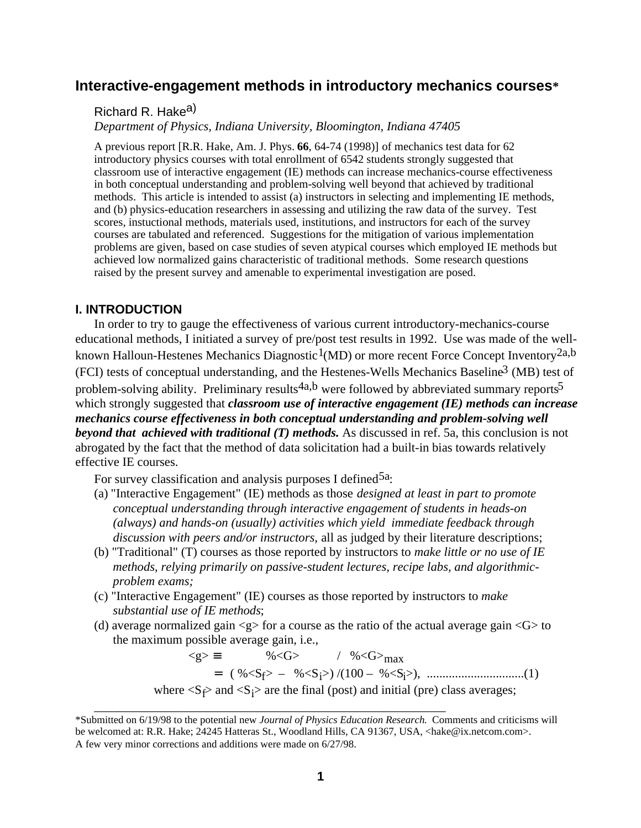# **Interactive-engagement methods in introductory mechanics courses\***

Richard R. Hake<sup>a)</sup>

*Department of Physics, Indiana University, Bloomington, Indiana 47405*

A previous report [R.R. Hake, Am. J. Phys. **66**, 64-74 (1998)] of mechanics test data for 62 introductory physics courses with total enrollment of 6542 students strongly suggested that classroom use of interactive engagement (IE) methods can increase mechanics-course effectiveness in both conceptual understanding and problem-solving well beyond that achieved by traditional methods. This article is intended to assist (a) instructors in selecting and implementing IE methods, and (b) physics-education researchers in assessing and utilizing the raw data of the survey. Test scores, instuctional methods, materials used, institutions, and instructors for each of the survey courses are tabulated and referenced. Suggestions for the mitigation of various implementation problems are given, based on case studies of seven atypical courses which employed IE methods but achieved low normalized gains characteristic of traditional methods. Some research questions raised by the present survey and amenable to experimental investigation are posed.

# **I. INTRODUCTION**

In order to try to gauge the effectiveness of various current introductory-mechanics-course educational methods, I initiated a survey of pre/post test results in 1992. Use was made of the wellknown Halloun-Hestenes Mechanics Diagnostic<sup>1</sup>(MD) or more recent Force Concept Inventory<sup>2a,b</sup> (FCI) tests of conceptual understanding, and the Hestenes-Wells Mechanics Baseline3 (MB) test of problem-solving ability. Preliminary results<sup>4a,b</sup> were followed by abbreviated summary reports<sup>5</sup> which strongly suggested that *classroom use of interactive engagement (IE) methods can increase mechanics course effectiveness in both conceptual understanding and problem-solving well beyond that achieved with traditional (T) methods.* As discussed in ref. 5a, this conclusion is not abrogated by the fact that the method of data solicitation had a built-in bias towards relatively effective IE courses.

For survey classification and analysis purposes I defined  $5a$ .

- (a) "Interactive Engagement" (IE) methods as those *designed at least in part to promote conceptual understanding through interactive engagement of students in heads-on (always) and hands-on (usually) activities which yield immediate feedback through discussion with peers and/or instructors,* all as judged by their literature descriptions;
- (b) "Traditional" (T) courses as those reported by instructors to *make little or no use of IE methods*, *relying primarily on passive-student lectures, recipe labs, and algorithmicproblem exams;*
- (c) "Interactive Engagement" (IE) courses as those reported by instructors to *make substantial use of IE methods*;
- (d) average normalized gain  $\langle g \rangle$  for a course as the ratio of the actual average gain  $\langle G \rangle$  to the maximum possible average gain, i.e.,

 $\langle g \rangle \equiv$  % $\langle G \rangle$  / % $\langle G \rangle$ <sub>max</sub> = ( %<Sf> – %<Si>) /(100 – %<Si>), ...............................(1) where  $\langle S_f \rangle$  and  $\langle S_i \rangle$  are the final (post) and initial (pre) class averages;

\_\_\_\_\_\_\_\_\_\_\_\_\_\_\_\_\_\_\_\_\_\_\_\_\_\_\_\_\_\_\_\_\_\_\_\_\_\_\_\_\_\_\_\_\_\_\_\_\_\_\_\_\_\_\_\_

<sup>\*</sup>Submitted on 6/19/98 to the potential new *Journal of Physics Education Research.* Comments and criticisms will be welcomed at: R.R. Hake; 24245 Hatteras St., Woodland Hills, CA 91367, USA, <hake@ix.netcom.com>. A few very minor corrections and additions were made on 6/27/98.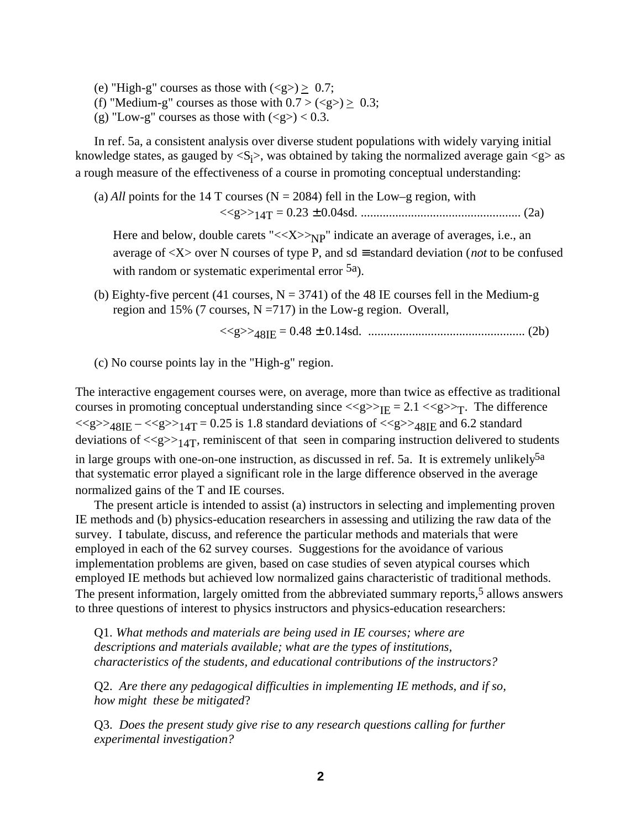- (e) "High-g" courses as those with  $(\langle g \rangle) \geq 0.7$ ;
- (f) "Medium-g" courses as those with  $0.7 > () \geq 0.3;$
- (g) "Low-g" courses as those with  $(\langle g \rangle) < 0.3$ .

In ref. 5a, a consistent analysis over diverse student populations with widely varying initial knowledge states, as gauged by  $\langle S_i \rangle$ , was obtained by taking the normalized average gain  $\langle g \rangle$  as a rough measure of the effectiveness of a course in promoting conceptual understanding:

(a)  $All$  points for the 14 T courses ( $N = 2084$ ) fell in the Low–g region, with <<g>>14T = 0.23 ± 0.04sd. ................................................... (2a)

Here and below, double carets " $<\sim_{NP}$ " indicate an average of averages, i.e., an average of <X> over N courses of type P, and sd ≡ standard deviation (*not* to be confused with random or systematic experimental error 5a).

(b) Eighty-five percent (41 courses,  $N = 3741$ ) of the 48 IE courses fell in the Medium-g region and 15% (7 courses,  $N = 717$ ) in the Low-g region. Overall,

<<g>>48IE = 0.48 ± 0.14sd. .................................................. (2b)

(c) No course points lay in the "High-g" region.

The interactive engagement courses were, on average, more than twice as effective as traditional courses in promoting conceptual understanding since  $\langle \langle g \rangle \rangle_{\text{HE}} = 2.1 \langle \langle g \rangle \rangle_{\text{T}}$ . The difference  $\langle \langle g \rangle \rangle_{48IE} - \langle \langle g \rangle \rangle_{14T} = 0.25$  is 1.8 standard deviations of  $\langle \langle g \rangle \rangle_{48IE}$  and 6.2 standard deviations of  $\langle \langle g \rangle >_{14}T$ , reminiscent of that seen in comparing instruction delivered to students in large groups with one-on-one instruction, as discussed in ref. 5a. It is extremely unlikely<sup>5a</sup> that systematic error played a significant role in the large difference observed in the average normalized gains of the T and IE courses.

The present article is intended to assist (a) instructors in selecting and implementing proven IE methods and (b) physics-education researchers in assessing and utilizing the raw data of the survey. I tabulate, discuss, and reference the particular methods and materials that were employed in each of the 62 survey courses. Suggestions for the avoidance of various implementation problems are given, based on case studies of seven atypical courses which employed IE methods but achieved low normalized gains characteristic of traditional methods. The present information, largely omitted from the abbreviated summary reports,<sup>5</sup> allows answers to three questions of interest to physics instructors and physics-education researchers:

Q1. *What methods and materials are being used in IE courses; where are descriptions and materials available; what are the types of institutions, characteristics of the students, and educational contributions of the instructors?*

Q2. *Are there any pedagogical difficulties in implementing IE methods, and if so, how might these be mitigated*?

Q3. *Does the present study give rise to any research questions calling for further experimental investigation?*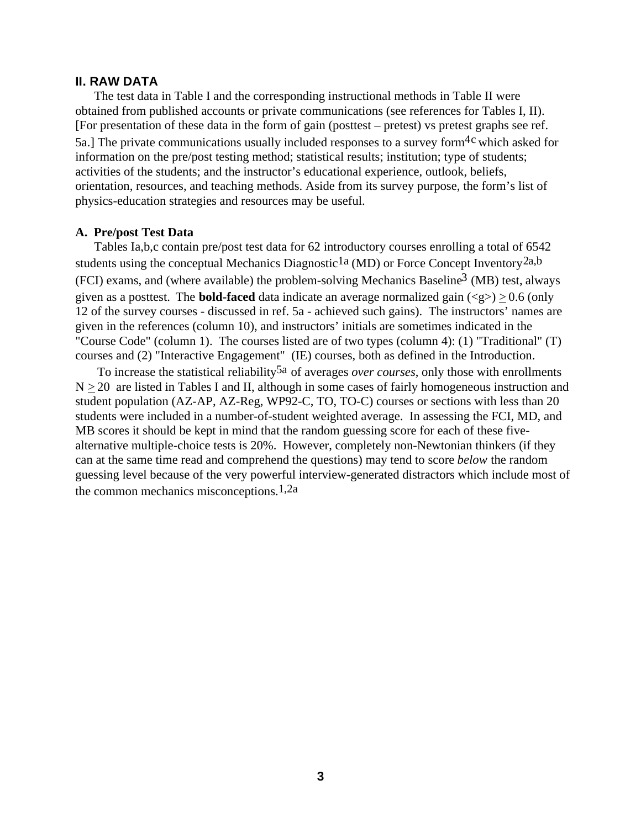## **II. RAW DATA**

The test data in Table I and the corresponding instructional methods in Table II were obtained from published accounts or private communications (see references for Tables I, II). [For presentation of these data in the form of gain (posttest – pretest) vs pretest graphs see ref. 5a.] The private communications usually included responses to a survey form<sup>4c</sup> which asked for information on the pre/post testing method; statistical results; institution; type of students; activities of the students; and the instructor's educational experience, outlook, beliefs, orientation, resources, and teaching methods. Aside from its survey purpose, the form's list of physics-education strategies and resources may be useful.

### **A. Pre/post Test Data**

Tables Ia,b,c contain pre/post test data for 62 introductory courses enrolling a total of 6542 students using the conceptual Mechanics Diagnostic<sup>1a</sup> (MD) or Force Concept Inventory<sup>2a,b</sup> (FCI) exams, and (where available) the problem-solving Mechanics Baseline3 (MB) test, always given as a posttest. The **bold-faced** data indicate an average normalized gain  $(\leq g >) > 0.6$  (only 12 of the survey courses - discussed in ref. 5a - achieved such gains). The instructors' names are given in the references (column 10), and instructors' initials are sometimes indicated in the "Course Code" (column 1). The courses listed are of two types (column 4): (1) "Traditional" (T) courses and (2) "Interactive Engagement" (IE) courses, both as defined in the Introduction.

To increase the statistical reliability<sup>5a</sup> of averages *over courses*, only those with enrollments  $N \geq 20$  are listed in Tables I and II, although in some cases of fairly homogeneous instruction and student population (AZ-AP, AZ-Reg, WP92-C, TO, TO-C) courses or sections with less than 20 students were included in a number-of-student weighted average. In assessing the FCI, MD, and MB scores it should be kept in mind that the random guessing score for each of these fivealternative multiple-choice tests is 20%. However, completely non-Newtonian thinkers (if they can at the same time read and comprehend the questions) may tend to score *below* the random guessing level because of the very powerful interview-generated distractors which include most of the common mechanics misconceptions.1,2a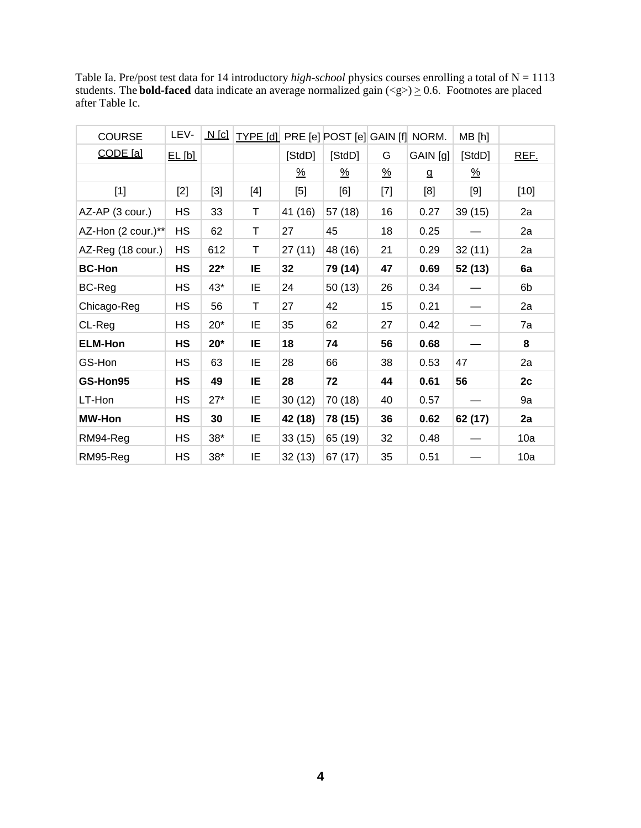Table Ia. Pre/post test data for 14 introductory *high-school* physics courses enrolling a total of N = 1113 students. The **bold-faced** data indicate an average normalized gain  $(\leq g \geq) \geq 0.6$ . Footnotes are placed after Table Ic.

| <b>COURSE</b>      | LEV-      | <u>N [c]</u> | TYPE [d] PRE [e] POST [e] GAIN [f] NORM.                                                                                                                                                      |          |          |               |          | MB[h]                 |        |
|--------------------|-----------|--------------|-----------------------------------------------------------------------------------------------------------------------------------------------------------------------------------------------|----------|----------|---------------|----------|-----------------------|--------|
| CODE [a]           | EL[b]     |              |                                                                                                                                                                                               | [StdD]   | [StdD]   | G             | GAIN [g] | [StdD]                | REF.   |
|                    |           |              |                                                                                                                                                                                               | <u>%</u> | <u>%</u> | $\frac{9}{6}$ | g        | $\frac{\%}{\sqrt{2}}$ |        |
| $[1]$              | $[2]$     | $[3]$        | $[4] % \includegraphics[width=0.9\columnwidth]{images/TrDiS-Architecture.png} % \caption{The figure shows the results of the estimators in the left and right.} \label{TrDiS-Architecture} %$ | $[5]$    | [6]      | $[7]$         | [8]      | [9]                   | $[10]$ |
| AZ-AP (3 cour.)    | <b>HS</b> | 33           | T                                                                                                                                                                                             | 41 (16)  | 57 (18)  | 16            | 0.27     | 39 (15)               | 2a     |
| AZ-Hon (2 cour.)** | <b>HS</b> | 62           | T                                                                                                                                                                                             | 27       | 45       | 18            | 0.25     |                       | 2a     |
| AZ-Reg (18 cour.)  | <b>HS</b> | 612          | Τ                                                                                                                                                                                             | 27(11)   | 48 (16)  | 21            | 0.29     | 32(11)                | 2a     |
| <b>BC-Hon</b>      | HS        | $22*$        | IE                                                                                                                                                                                            | 32       | 79 (14)  | 47            | 0.69     | 52 (13)               | 6a     |
| BC-Reg             | <b>HS</b> | 43*          | IE                                                                                                                                                                                            | 24       | 50(13)   | 26            | 0.34     |                       | 6b     |
| Chicago-Reg        | <b>HS</b> | 56           | T                                                                                                                                                                                             | 27       | 42       | 15            | 0.21     |                       | 2a     |
| CL-Reg             | <b>HS</b> | $20*$        | ΙE                                                                                                                                                                                            | 35       | 62       | 27            | 0.42     |                       | 7a     |
| <b>ELM-Hon</b>     | <b>HS</b> | $20*$        | IE.                                                                                                                                                                                           | 18       | 74       | 56            | 0.68     |                       | 8      |
| GS-Hon             | <b>HS</b> | 63           | IE                                                                                                                                                                                            | 28       | 66       | 38            | 0.53     | 47                    | 2a     |
| GS-Hon95           | HS        | 49           | IE                                                                                                                                                                                            | 28       | 72       | 44            | 0.61     | 56                    | 2c     |
| LT-Hon             | <b>HS</b> | $27*$        | IE                                                                                                                                                                                            | 30(12)   | 70 (18)  | 40            | 0.57     |                       | 9a     |
| <b>MW-Hon</b>      | HS        | 30           | IE                                                                                                                                                                                            | 42 (18)  | 78 (15)  | 36            | 0.62     | 62 (17)               | 2a     |
| RM94-Reg           | <b>HS</b> | $38*$        | ΙE                                                                                                                                                                                            | 33(15)   | 65 (19)  | 32            | 0.48     |                       | 10a    |
| RM95-Reg           | <b>HS</b> | $38*$        | ΙE                                                                                                                                                                                            | 32(13)   | 67 (17)  | 35            | 0.51     |                       | 10a    |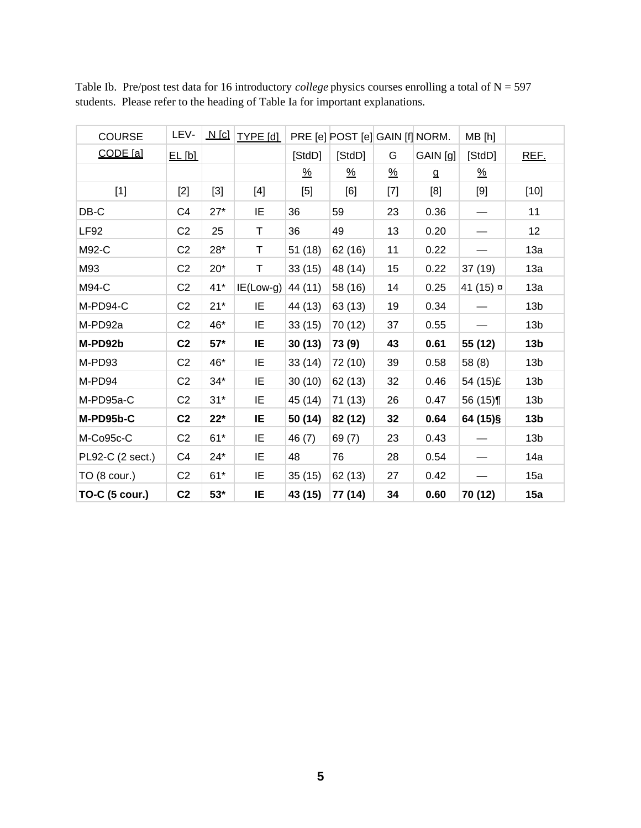| <b>COURSE</b>         | LEV-           | $N$ [c] | <b>TYPE</b> [d] |               | PRE [e] POST [e] GAIN [f] NORM. |               |          | MB [h]                |                 |
|-----------------------|----------------|---------|-----------------|---------------|---------------------------------|---------------|----------|-----------------------|-----------------|
| CODE [a]              | EL[b]          |         |                 | [StdD]        | [StdD]                          | G             | GAIN [g] | [StdD]                | REF.            |
|                       |                |         |                 | $\frac{9}{6}$ | $\frac{\%}{\sqrt{2}}$           | $\frac{9}{6}$ | g        | $\frac{\%}{\sqrt{2}}$ |                 |
| $[1]$                 | $[2]$          | $[3]$   | [4]             | $[5]$         | [6]                             | [7]           | [8]      | [9]                   | $[10]$          |
| $DB-C$                | C4             | $27*$   | IE              | 36            | 59                              | 23            | 0.36     |                       | 11              |
| <b>LF92</b>           | C <sub>2</sub> | 25      | Τ               | 36            | 49                              | 13            | 0.20     |                       | 12              |
| M92-C                 | C <sub>2</sub> | 28*     | T               | 51 (18)       | 62 (16)                         | 11            | 0.22     |                       | 13a             |
| M93                   | C <sub>2</sub> | $20*$   | Τ               | 33(15)        | 48 (14)                         | 15            | 0.22     | 37 (19)               | 13a             |
| M94-C                 | C <sub>2</sub> | $41*$   | $IE(Low-g)$     | 44 (11)       | 58 (16)                         | 14            | 0.25     | 41 (15) ¤             | 13a             |
| M-PD94-C              | C <sub>2</sub> | $21*$   | IE              | 44 (13)       | 63 (13)                         | 19            | 0.34     |                       | 13 <sub>b</sub> |
| M-PD92a               | C <sub>2</sub> | 46*     | ΙE              | 33(15)        | 70 (12)                         | 37            | 0.55     |                       | 13 <sub>b</sub> |
| M-PD92b               | C <sub>2</sub> | $57*$   | ΙE              | 30(13)        | 73 (9)                          | 43            | 0.61     | 55 (12)               | 13 <sub>b</sub> |
| M-PD93                | C <sub>2</sub> | 46*     | IE              | 33(14)        | 72 (10)                         | 39            | 0.58     | 58 (8)                | 13 <sub>b</sub> |
| M-PD94                | C <sub>2</sub> | $34*$   | IE              | 30(10)        | 62 (13)                         | 32            | 0.46     | 54 (15)£              | 13 <sub>b</sub> |
| M-PD95a-C             | C <sub>2</sub> | $31*$   | IE              | 45 (14)       | 71 (13)                         | 26            | 0.47     | 56 $(15)$             | 13 <sub>b</sub> |
| M-PD95b-C             | C <sub>2</sub> | $22*$   | IE.             | 50 (14)       | 82 (12)                         | 32            | 0.64     | 64 (15)§              | 13 <sub>b</sub> |
| M-Co95c-C             | C <sub>2</sub> | $61*$   | IE              | 46 (7)        | 69(7)                           | 23            | 0.43     |                       | 13 <sub>b</sub> |
| PL92-C (2 sect.)      | C4             | $24*$   | IE              | 48            | 76                              | 28            | 0.54     |                       | 14a             |
| $TO(8 \text{ cour.})$ | C <sub>2</sub> | $61*$   | IE              | 35(15)        | 62 (13)                         | 27            | 0.42     |                       | 15a             |
| <b>TO-C (5 cour.)</b> | C <sub>2</sub> | $53*$   | ΙE              | 43 (15)       | 77 (14)                         | 34            | 0.60     | 70 (12)               | 15a             |

Table Ib. Pre/post test data for 16 introductory *college* physics courses enrolling a total of N = 597 students. Please refer to the heading of Table Ia for important explanations.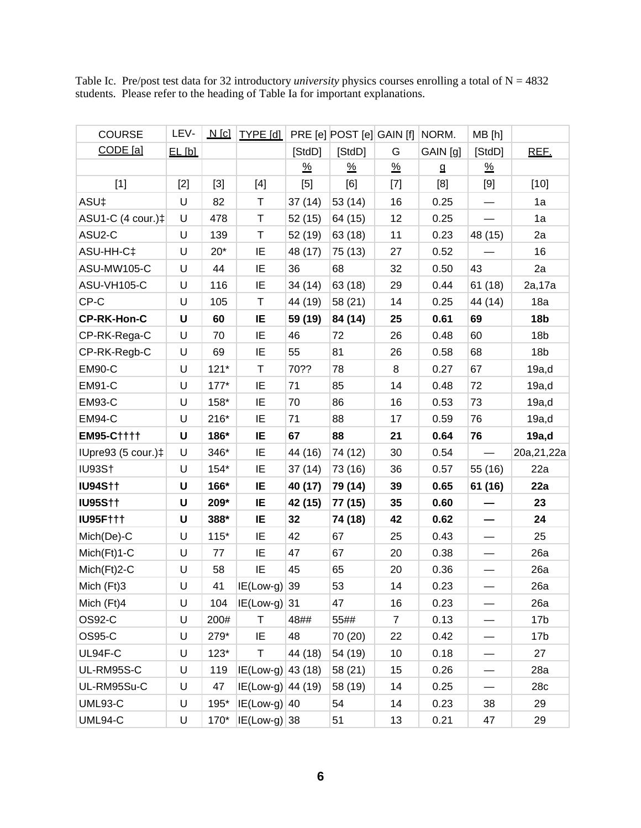| <b>COURSE</b>      | LEV-   | $N$ [c] | $ $ TYPE [d] $ $    |               | PRE [e] POST [e] GAIN [f] |                                                                                                                                                                                                                                                                                                                                                                                                                                                                                                        | NORM.    | MB [h]                   |                 |
|--------------------|--------|---------|---------------------|---------------|---------------------------|--------------------------------------------------------------------------------------------------------------------------------------------------------------------------------------------------------------------------------------------------------------------------------------------------------------------------------------------------------------------------------------------------------------------------------------------------------------------------------------------------------|----------|--------------------------|-----------------|
| CODE [a]           | EL[bl] |         |                     | [StdD]        | [StdD]                    | G                                                                                                                                                                                                                                                                                                                                                                                                                                                                                                      | GAIN [g] | [StdD]                   | REF.            |
|                    |        |         |                     | $\frac{9}{6}$ | $\frac{9}{6}$             | $\frac{9}{6}$                                                                                                                                                                                                                                                                                                                                                                                                                                                                                          | g        | $\frac{9}{6}$            |                 |
| $[1]$              | $[2]$  | $[3]$   | $[4]$               | $[5]$         | [6]                       | $[7] \centering% \includegraphics[width=1\textwidth]{images/TransY.pdf} \caption{The first two different values of $d=3$ and $d=1$ (left) and $d=1$ (right) and $d=1$ (right) and $d=1$ (right) and $d=1$ (right) and $d=1$ (right) and $d=1$ (right) and $d=1$ (right) and $d=1$ (right) and $d=1$ (right) and $d=1$ (right) and $d=1$ (right) and $d=1$ (right) and $d=1$ (right) and $d=1$ (right) and $d=1$ (right) and $d=1$ (right) and $d=1$ (right) and $d=1$ (right) and $d=1$ (right) and $$ | [8]      | [9]                      | $[10]$          |
| ASU‡               | U      | 82      | T                   | 37(14)        | 53 (14)                   | 16                                                                                                                                                                                                                                                                                                                                                                                                                                                                                                     | 0.25     |                          | 1a              |
| ASU1-C (4 cour.)‡  | U      | 478     | T                   | 52 (15)       | 64 (15)                   | 12                                                                                                                                                                                                                                                                                                                                                                                                                                                                                                     | 0.25     |                          | 1a              |
| ASU2-C             | U      | 139     | Τ                   | 52 (19)       | 63 (18)                   | 11                                                                                                                                                                                                                                                                                                                                                                                                                                                                                                     | 0.23     | 48 (15)                  | 2a              |
| ASU-HH-C‡          | U      | $20*$   | IE                  | 48 (17)       | 75 (13)                   | 27                                                                                                                                                                                                                                                                                                                                                                                                                                                                                                     | 0.52     |                          | 16              |
| ASU-MW105-C        | U      | 44      | IE                  | 36            | 68                        | 32                                                                                                                                                                                                                                                                                                                                                                                                                                                                                                     | 0.50     | 43                       | 2a              |
| ASU-VH105-C        | U      | 116     | IE                  | 34 (14)       | 63 (18)                   | 29                                                                                                                                                                                                                                                                                                                                                                                                                                                                                                     | 0.44     | 61(18)                   | 2a,17a          |
| CP-C               | U      | 105     | T                   | 44 (19)       | 58 (21)                   | 14                                                                                                                                                                                                                                                                                                                                                                                                                                                                                                     | 0.25     | 44 (14)                  | 18a             |
| <b>CP-RK-Hon-C</b> | U      | 60      | IE                  | 59 (19)       | 84 (14)                   | 25                                                                                                                                                                                                                                                                                                                                                                                                                                                                                                     | 0.61     | 69                       | 18 <sub>b</sub> |
| CP-RK-Rega-C       | U      | 70      | IE                  | 46            | 72                        | 26                                                                                                                                                                                                                                                                                                                                                                                                                                                                                                     | 0.48     | 60                       | 18 <sub>b</sub> |
| CP-RK-Regb-C       | U      | 69      | IE                  | 55            | 81                        | 26                                                                                                                                                                                                                                                                                                                                                                                                                                                                                                     | 0.58     | 68                       | 18 <sub>b</sub> |
| <b>EM90-C</b>      | U      | $121*$  | T                   | 70??          | 78                        | 8                                                                                                                                                                                                                                                                                                                                                                                                                                                                                                      | 0.27     | 67                       | 19a,d           |
| <b>EM91-C</b>      | U      | $177*$  | IE                  | 71            | 85                        | 14                                                                                                                                                                                                                                                                                                                                                                                                                                                                                                     | 0.48     | 72                       | 19a,d           |
| <b>EM93-C</b>      | U      | 158*    | IE                  | 70            | 86                        | 16                                                                                                                                                                                                                                                                                                                                                                                                                                                                                                     | 0.53     | 73                       | 19a,d           |
| <b>EM94-C</b>      | U      | $216*$  | IE                  | 71            | 88                        | 17                                                                                                                                                                                                                                                                                                                                                                                                                                                                                                     | 0.59     | 76                       | 19a,d           |
| <b>EM95-C††††</b>  | U      | 186*    | IE                  | 67            | 88                        | 21                                                                                                                                                                                                                                                                                                                                                                                                                                                                                                     | 0.64     | 76                       | 19a,d           |
| IUpre93 (5 cour.)‡ | U      | 346*    | IE                  | 44 (16)       | 74 (12)                   | 30                                                                                                                                                                                                                                                                                                                                                                                                                                                                                                     | 0.54     |                          | 20a, 21, 22a    |
| <b>IU93S†</b>      | U      | $154*$  | IE                  | 37(14)        | 73 (16)                   | 36                                                                                                                                                                                                                                                                                                                                                                                                                                                                                                     | 0.57     | 55 (16)                  | 22a             |
| <b>IU94S††</b>     | U      | 166*    | IE                  | 40 (17)       | 79 (14)                   | 39                                                                                                                                                                                                                                                                                                                                                                                                                                                                                                     | 0.65     | 61 (16)                  | 22a             |
| <b>IU95S††</b>     | U      | 209*    | IE                  | 42 (15)       | 77 (15)                   | 35                                                                                                                                                                                                                                                                                                                                                                                                                                                                                                     | 0.60     |                          | 23              |
| <b>IU95F†††</b>    | U      | 388*    | IE                  | 32            | 74 (18)                   | 42                                                                                                                                                                                                                                                                                                                                                                                                                                                                                                     | 0.62     |                          | 24              |
| Mich(De)-C         | U      | $115*$  | IE                  | 42            | 67                        | 25                                                                                                                                                                                                                                                                                                                                                                                                                                                                                                     | 0.43     |                          | 25              |
| Mich(Ft)1-C        | U      | 77      | IE                  | 47            | 67                        | 20                                                                                                                                                                                                                                                                                                                                                                                                                                                                                                     | 0.38     |                          | 26a             |
| Mich(Ft)2-C        | U      | 58      | IE                  | 45            | 65                        | 20                                                                                                                                                                                                                                                                                                                                                                                                                                                                                                     | 0.36     |                          | 26a             |
| Mich (Ft)3         | U      | 41      | $IE(Low-g)$ 39      |               | 53                        | 14                                                                                                                                                                                                                                                                                                                                                                                                                                                                                                     | 0.23     |                          | 26a             |
| Mich (Ft)4         | U      | 104     | $IE(Low-g)$ 31      |               | 47                        | 16                                                                                                                                                                                                                                                                                                                                                                                                                                                                                                     | 0.23     |                          | 26a             |
| OS92-C             | U      | 200#    | T                   | 48##          | 55##                      | $\overline{7}$                                                                                                                                                                                                                                                                                                                                                                                                                                                                                         | 0.13     |                          | 17 <sub>b</sub> |
| OS95-C             | U      | 279*    | IE                  | 48            | 70 (20)                   | 22                                                                                                                                                                                                                                                                                                                                                                                                                                                                                                     | 0.42     |                          | 17 <sub>b</sub> |
| UL94F-C            | U      | $123*$  | T                   | 44 (18)       | 54 (19)                   | 10                                                                                                                                                                                                                                                                                                                                                                                                                                                                                                     | 0.18     |                          | 27              |
| UL-RM95S-C         | U      | 119     | $IE(Low-g)$ 43 (18) |               | 58 (21)                   | 15                                                                                                                                                                                                                                                                                                                                                                                                                                                                                                     | 0.26     |                          | 28a             |
| UL-RM95Su-C        | U      | 47      | $IE(Low-g)$ 44 (19) |               | 58 (19)                   | 14                                                                                                                                                                                                                                                                                                                                                                                                                                                                                                     | 0.25     | $\overline{\phantom{0}}$ | 28c             |
| <b>UML93-C</b>     | U      | 195*    | $IE(Low-g)$ 40      |               | 54                        | 14                                                                                                                                                                                                                                                                                                                                                                                                                                                                                                     | 0.23     | 38                       | 29              |
| <b>UML94-C</b>     | U      | $170^*$ | $ I E$ (Low-g) 38   |               | 51                        | 13                                                                                                                                                                                                                                                                                                                                                                                                                                                                                                     | 0.21     | 47                       | 29              |

Table Ic. Pre/post test data for 32 introductory *university* physics courses enrolling a total of N = 4832 students. Please refer to the heading of Table Ia for important explanations.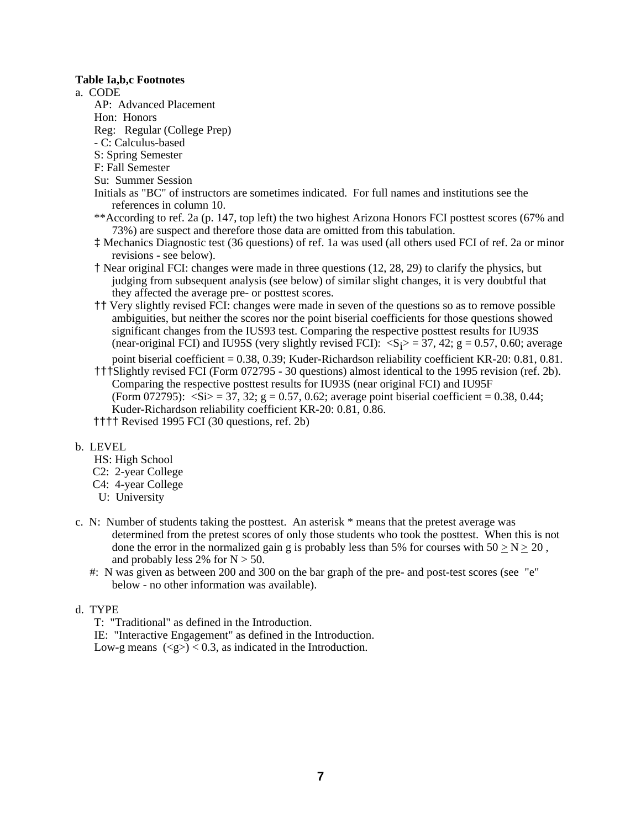### **Table Ia,b,c Footnotes**

a. CODE

- AP: Advanced Placement
- Hon: Honors
- Reg: Regular (College Prep)
- C: Calculus-based
- S: Spring Semester
- F: Fall Semester
- Su: Summer Session
- Initials as "BC" of instructors are sometimes indicated. For full names and institutions see the references in column 10.
- \*\*According to ref. 2a (p. 147, top left) the two highest Arizona Honors FCI posttest scores (67% and 73%) are suspect and therefore those data are omitted from this tabulation.
- ‡ Mechanics Diagnostic test (36 questions) of ref. 1a was used (all others used FCI of ref. 2a or minor revisions - see below).
- † Near original FCI: changes were made in three questions (12, 28, 29) to clarify the physics, but judging from subsequent analysis (see below) of similar slight changes, it is very doubtful that they affected the average pre- or posttest scores.
- †† Very slightly revised FCI: changes were made in seven of the questions so as to remove possible ambiguities, but neither the scores nor the point biserial coefficients for those questions showed significant changes from the IUS93 test. Comparing the respective posttest results for IU93S (near-original FCI) and IU95S (very slightly revised FCI):  $\langle S_i \rangle = 37, 42$ ; g = 0.57, 0.60; average

point biserial coefficient = 0.38, 0.39; Kuder-Richardson reliability coefficient KR-20: 0.81, 0.81. †††Slightly revised FCI (Form 072795 - 30 questions) almost identical to the 1995 revision (ref. 2b). Comparing the respective posttest results for IU93S (near original FCI) and IU95F (Form 072795):  $\langle \text{Si} \rangle = 37, 32$ ; g = 0.57, 0.62; average point biserial coefficient = 0.38, 0.44; Kuder-Richardson reliability coefficient KR-20: 0.81, 0.86.

†††† Revised 1995 FCI (30 questions, ref. 2b)

## b. LEVEL

- HS: High School
- C2: 2-year College
- C4: 4-year College
- U: University
- c. N: Number of students taking the posttest. An asterisk \* means that the pretest average was determined from the pretest scores of only those students who took the posttest. When this is not done the error in the normalized gain g is probably less than 5% for courses with  $50 \ge N \ge 20$ , and probably less 2% for  $N > 50$ .
	- #: N was given as between 200 and 300 on the bar graph of the pre- and post-test scores (see "e" below - no other information was available).

## d. TYPE

T: "Traditional" as defined in the Introduction.

IE: "Interactive Engagement" as defined in the Introduction.

Low-g means  $(\leq g$ > $)$  < 0.3, as indicated in the Introduction.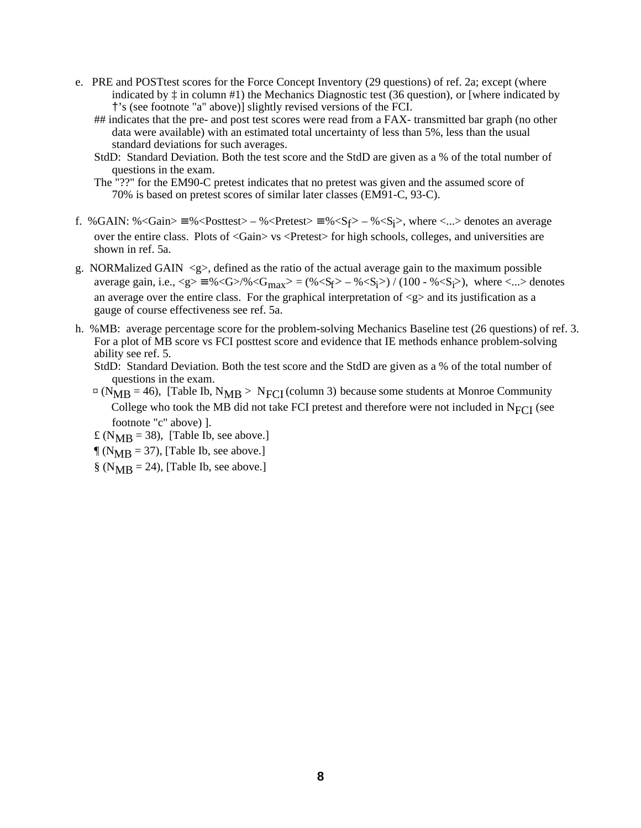- e. PRE and POSTtest scores for the Force Concept Inventory (29 questions) of ref. 2a; except (where indicated by ‡ in column #1) the Mechanics Diagnostic test (36 question)*,* or [where indicated by †'s (see footnote "a" above)] slightly revised versions of the FCI.
	- ## indicates that the pre- and post test scores were read from a FAX- transmitted bar graph (no other data were available) with an estimated total uncertainty of less than 5%, less than the usual standard deviations for such averages.
	- StdD: Standard Deviation. Both the test score and the StdD are given as a % of the total number of questions in the exam.
	- The "??" for the EM90-C pretest indicates that no pretest was given and the assumed score of 70% is based on pretest scores of similar later classes (EM91-C, 93-C).
- f. %GAIN: %<Gain>  $\equiv$  %<Posttest> %<Pretest>  $\equiv$  %<S<sub>f</sub>> %<S<sub>j</sub>>, where <...> denotes an average over the entire class. Plots of <Gain> vs <Pretest> for high schools, colleges, and universities are shown in ref. 5a.
- g. NORMalized GAIN  $\langle g \rangle$ , defined as the ratio of the actual average gain to the maximum possible average gain, i.e.,  $\langle g \rangle = \frac{9}{6} \langle G \rangle / \sqrt[6]{G_{max}} = \frac{(\% \langle S_f \rangle - \% \langle S_i \rangle)}{(100 - \% \langle S_f \rangle)}$ , where  $\langle ... \rangle$  denotes an average over the entire class. For the graphical interpretation of  $\langle g \rangle$  and its justification as a gauge of course effectiveness see ref. 5a.
- h. %MB: average percentage score for the problem-solving Mechanics Baseline test (26 questions) of ref. 3. For a plot of MB score vs FCI posttest score and evidence that IE methods enhance problem-solving ability see ref. 5.
	- StdD: Standard Deviation. Both the test score and the StdD are given as a % of the total number of questions in the exam.
	- $\alpha$  (N<sub>MB</sub> = 46), [Table Ib, N<sub>MB</sub> > N<sub>FCI</sub> (column 3) because some students at Monroe Community College who took the MB did not take FCI pretest and therefore were not included in N<sub>FCI</sub> (see footnote "c" above) ].
	- £ ( $N_{\text{MB}}$  = 38), [Table Ib, see above.]
	- $\mathcal{N}_{MB} = 37$ , [Table Ib, see above.]
	- $\S$  (N<sub>MB</sub> = 24), [Table Ib, see above.]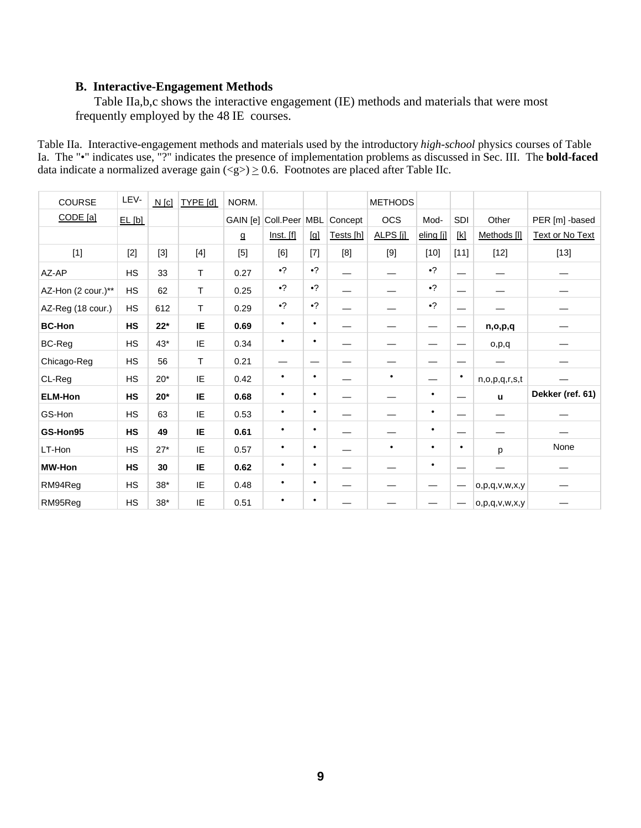## **B. Interactive-Engagement Methods**

Table IIa,b,c shows the interactive engagement (IE) methods and materials that were most frequently employed by the 48 IE courses.

Table IIa. Interactive-engagement methods and materials used by the introductory *high-school* physics courses of Table Ia. The "•" indicates use, "?" indicates the presence of implementation problems as discussed in Sec. III. The **bold-faced** data indicate a normalized average gain  $\langle \text{g} \rangle \ge 0.6$ . Footnotes are placed after Table IIc.

| COURSE             | LEV-      | $N$ [c] | TYPE [d] | NORM.                 |                        |           |           | <b>METHODS</b> |           |                          |                     |                  |
|--------------------|-----------|---------|----------|-----------------------|------------------------|-----------|-----------|----------------|-----------|--------------------------|---------------------|------------------|
| CODE [a]           | EL[bl]    |         |          |                       | GAIN [e] Coll.Peer MBL |           | Concept   | <b>OCS</b>     | Mod-      | SDI                      | Other               | PER [m] -based   |
|                    |           |         |          | ${\underline{\tt Q}}$ | Inst. [f]              | [g]       | Tests [h] | ALPS [j]       | eling [j] | [k]                      | Methods [I]         | Text or No Text  |
| $[1]$              | $[2]$     | $[3]$   | $[4]$    | [5]                   | [6]                    | $[7]$     | [8]       | $[9]$          | $[10]$    | $[11]$                   | $[12]$              | $[13]$           |
| AZ-AP              | HS        | 33      | T.       | 0.27                  | $\cdot$ ?              | $\cdot$ ? |           |                | $\cdot$ ? | —                        |                     |                  |
| AZ-Hon (2 cour.)** | HS        | 62      | T.       | 0.25                  | $\bullet$ ?            | $\cdot$ ? |           |                | $\cdot$ ? |                          |                     |                  |
| AZ-Reg (18 cour.)  | HS        | 612     | T.       | 0.29                  | $\bullet$ ?            | $\cdot$ ? |           |                | $\cdot$ ? | $\overline{\phantom{0}}$ |                     |                  |
| <b>BC-Hon</b>      | HS        | $22*$   | IE       | 0.69                  | $\bullet$              | $\bullet$ |           |                |           | $\overline{\phantom{m}}$ | n,o,p,q             |                  |
| <b>BC-Reg</b>      | HS        | $43*$   | IE       | 0.34                  | $\bullet$              | $\bullet$ |           |                | —<br>—    | $\overline{\phantom{m}}$ | o,p,q               |                  |
| Chicago-Reg        | HS        | 56      | T        | 0.21                  |                        |           |           |                |           | --                       |                     |                  |
| CL-Reg             | <b>HS</b> | $20*$   | IE.      | 0.42                  | $\bullet$              | $\bullet$ |           | $\bullet$      |           | $\bullet$                | n, o, p, q, r, s, t |                  |
| <b>ELM-Hon</b>     | HS        | $20*$   | IE       | 0.68                  | $\bullet$              | $\bullet$ |           |                | $\bullet$ | $\overline{\phantom{m}}$ | ū                   | Dekker (ref. 61) |
| GS-Hon             | <b>HS</b> | 63      | IE       | 0.53                  | $\bullet$              | ٠         |           |                | $\bullet$ | —                        |                     |                  |
| GS-Hon95           | HS        | 49      | IE       | 0.61                  | $\bullet$              | ٠         |           |                | $\bullet$ | —                        |                     |                  |
| LT-Hon             | HS        | $27*$   | IE       | 0.57                  | $\bullet$              | ٠         |           | $\bullet$      | $\bullet$ | ٠                        | p                   | None             |
| <b>MW-Hon</b>      | HS        | 30      | IE       | 0.62                  | $\bullet$              | ٠         |           |                | $\bullet$ |                          |                     |                  |
| RM94Reg            | HS        | $38*$   | IE       | 0.48                  | $\bullet$              | ٠         |           |                | —         | $\hspace{0.05cm}$        | o, p, q, v, w, x, y |                  |
| RM95Reg            | <b>HS</b> | $38*$   | IE       | 0.51                  | $\bullet$              | ٠         |           |                |           | $\hspace{0.05cm}$        | o, p, q, v, w, x, y |                  |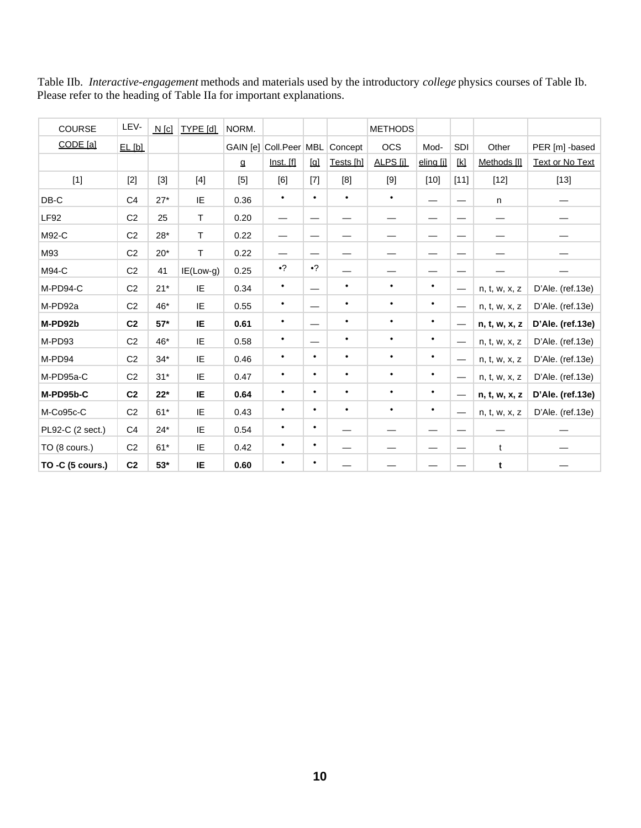| COURSE           | LEV-           | $N$ [c] | TYPE [d]     | NORM. |                        |                                                                                                                                                                   |           | <b>METHODS</b> |           |                                   |               |                  |
|------------------|----------------|---------|--------------|-------|------------------------|-------------------------------------------------------------------------------------------------------------------------------------------------------------------|-----------|----------------|-----------|-----------------------------------|---------------|------------------|
| CODE [a]         | EL [b]         |         |              |       | GAIN [e] Coll.Peer MBL |                                                                                                                                                                   | Concept   | <b>OCS</b>     | Mod-      | SDI                               | Other         | PER [m] -based   |
|                  |                |         |              | g     | Inst. [f]              | $[q] % \centering \includegraphics[width=\textwidth]{images/TransY.pdf} \caption{The figure shows the results of the estimators in the image.} \label{fig:class}$ | Tests [h] | ALPS [j]       | eling [j] | [k]                               | Methods [I]   | Text or No Text  |
| $[1]$            | $[2]$          | $[3]$   | $[4]$        | $[5]$ | [6]                    | $[7]$                                                                                                                                                             | [8]       | $[9]$          | $[10]$    | $[11]$                            | $[12]$        | $[13]$           |
| $DB-C$           | C <sub>4</sub> | $27*$   | IE           | 0.36  | $\bullet$              | $\bullet$                                                                                                                                                         | $\bullet$ | $\bullet$      | —         | —                                 | n             |                  |
| <b>LF92</b>      | C <sub>2</sub> | 25      | $\mathsf{T}$ | 0.20  |                        |                                                                                                                                                                   |           |                | —         | -                                 |               |                  |
| M92-C            | C <sub>2</sub> | $28*$   | $\mathsf{T}$ | 0.22  | —                      | $\overbrace{\phantom{123221111}}$                                                                                                                                 |           |                | —         | —                                 |               |                  |
| M93              | C <sub>2</sub> | $20*$   | T            | 0.22  |                        |                                                                                                                                                                   |           |                | —         | —                                 |               |                  |
| M94-C            | C <sub>2</sub> | 41      | $IE(Low-g)$  | 0.25  | $\cdot$ ?              | $\cdot$ ?                                                                                                                                                         |           |                | —         | —                                 |               |                  |
| M-PD94-C         | C <sub>2</sub> | $21*$   | IE           | 0.34  | $\bullet$              |                                                                                                                                                                   | $\bullet$ | $\bullet$      | $\bullet$ | $\overbrace{\phantom{123221111}}$ | n, t, w, x, z | D'Ale. (ref.13e) |
| M-PD92a          | C <sub>2</sub> | 46*     | IE           | 0.55  | $\bullet$              |                                                                                                                                                                   | $\bullet$ | $\bullet$      | $\bullet$ |                                   | n, t, w, x, z | D'Ale. (ref.13e) |
| M-PD92b          | C <sub>2</sub> | $57*$   | IE           | 0.61  | $\bullet$              |                                                                                                                                                                   | $\bullet$ | $\bullet$      | $\bullet$ |                                   | n, t, w, x, z | D'Ale. (ref.13e) |
| M-PD93           | C <sub>2</sub> | 46*     | IE           | 0.58  | $\bullet$              |                                                                                                                                                                   | $\bullet$ | $\bullet$      | $\bullet$ |                                   | n, t, w, x, z | D'Ale. (ref.13e) |
| M-PD94           | C <sub>2</sub> | $34*$   | IE           | 0.46  | $\bullet$              | $\bullet$                                                                                                                                                         | $\bullet$ | $\bullet$      | $\bullet$ | $\overline{\phantom{0}}$          | n, t, w, x, z | D'Ale. (ref.13e) |
| M-PD95a-C        | C <sub>2</sub> | $31*$   | IE           | 0.47  | $\bullet$              | $\bullet$                                                                                                                                                         | $\bullet$ | $\bullet$      | $\bullet$ | —                                 | n, t, w, x, z | D'Ale. (ref.13e) |
| M-PD95b-C        | C <sub>2</sub> | $22*$   | IE           | 0.64  | $\bullet$              | $\bullet$                                                                                                                                                         | $\bullet$ | $\bullet$      | $\bullet$ | $\overline{\phantom{0}}$          | n, t, w, x, z | D'Ale. (ref.13e) |
| M-Co95c-C        | C <sub>2</sub> | $61*$   | IE           | 0.43  | $\bullet$              | $\bullet$                                                                                                                                                         | ٠         | $\bullet$      | $\bullet$ | —                                 | n, t, w, x, z | D'Ale. (ref.13e) |
| PL92-C (2 sect.) | C4             | $24*$   | IE           | 0.54  | $\bullet$              | $\bullet$                                                                                                                                                         |           |                |           |                                   |               |                  |
| TO (8 cours.)    | C <sub>2</sub> | $61*$   | IE           | 0.42  | $\bullet$              | $\bullet$                                                                                                                                                         |           |                |           | —                                 | t             |                  |
| TO -C (5 cours.) | C <sub>2</sub> | $53*$   | IE           | 0.60  | $\bullet$              | ٠                                                                                                                                                                 |           |                |           |                                   | t             |                  |

Table IIb. *Interactive-engagement* methods and materials used by the introductory *college* physics courses of Table Ib. Please refer to the heading of Table IIa for important explanations.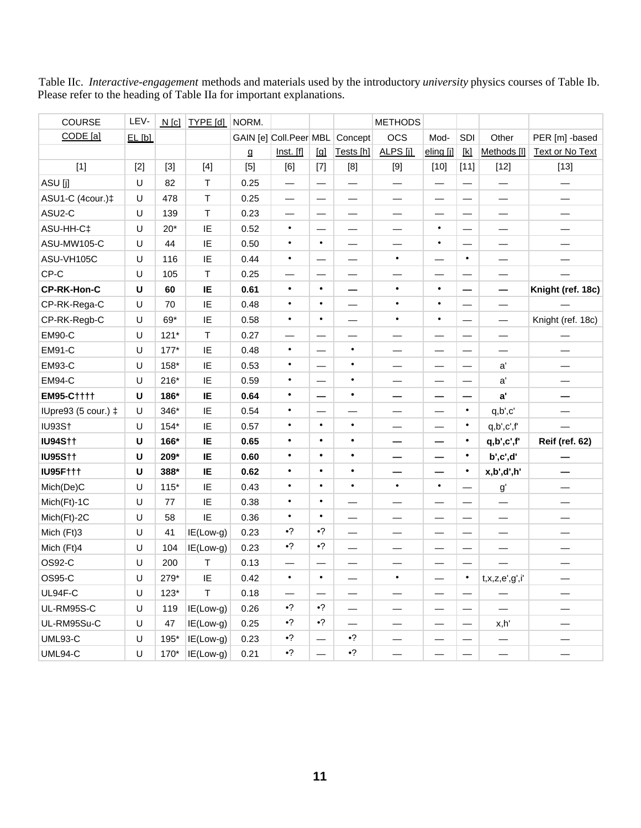Table IIc. *Interactive-engagement* methods and materials used by the introductory *university* physics courses of Table Ib. Please refer to the heading of Table IIa for important explanations.

| COURSE              | LEV-   | N[c]   | <b>TYPE</b> [d]                                                                                                                                                                                             | NORM. |                                |           |                          | <b>METHODS</b>           |           |                          |                          |                        |
|---------------------|--------|--------|-------------------------------------------------------------------------------------------------------------------------------------------------------------------------------------------------------------|-------|--------------------------------|-----------|--------------------------|--------------------------|-----------|--------------------------|--------------------------|------------------------|
| CODE [a]            | EL[bl] |        |                                                                                                                                                                                                             |       | GAIN [e] Coll.Peer MBL Concept |           |                          | <b>OCS</b>               | Mod-      | SDI                      | Other                    | PER [m] -based         |
|                     |        |        |                                                                                                                                                                                                             | g     | Inst. [f]                      | $\Box$    | Tests [h]                | ALPS [j]                 | eling [j] | $\mathbb{K}$             | Methods [I]              | <b>Text or No Text</b> |
| $[1]$               | $[2]$  | $[3]$  | $[4] % \begin{center} \includegraphics[width=\linewidth]{imagesSupplemental/Imh} \end{center} % \vspace{-1em} \caption{The image shows the number of parameters in the left and right.} \label{fig:limsub}$ | $[5]$ | [6]                            | $[7]$     | [8]                      | $[9]$                    | $[10]$    | $[11]$                   | $[12]$                   | $[13]$                 |
| ASU [j]             | U      | 82     | Т                                                                                                                                                                                                           | 0.25  |                                | —         | —                        |                          |           |                          |                          |                        |
| ASU1-C (4cour.)‡    | U      | 478    | $\top$                                                                                                                                                                                                      | 0.25  |                                | —         | —                        | —                        |           |                          | —                        |                        |
| ASU2-C              | U      | 139    | $\top$                                                                                                                                                                                                      | 0.23  |                                | —         | $\overline{\phantom{0}}$ | —                        |           |                          | $\overline{\phantom{0}}$ |                        |
| ASU-HH-C‡           | U      | $20*$  | IE                                                                                                                                                                                                          | 0.52  | $\bullet$                      |           |                          | —                        | $\bullet$ |                          |                          |                        |
| ASU-MW105-C         | U      | 44     | IE                                                                                                                                                                                                          | 0.50  | $\bullet$                      | $\bullet$ |                          |                          | $\bullet$ |                          |                          |                        |
| ASU-VH105C          | U      | 116    | IE                                                                                                                                                                                                          | 0.44  | $\bullet$                      | —         |                          | $\bullet$                |           | $\bullet$                |                          |                        |
| CP-C                | U      | 105    | $\top$                                                                                                                                                                                                      | 0.25  |                                |           |                          |                          |           |                          | $\overline{\phantom{0}}$ |                        |
| CP-RK-Hon-C         | U      | 60     | IE                                                                                                                                                                                                          | 0.61  | $\bullet$                      | $\bullet$ | —                        | $\bullet$                | $\bullet$ |                          |                          | Knight (ref. 18c)      |
| CP-RK-Rega-C        | U      | 70     | IE                                                                                                                                                                                                          | 0.48  | $\bullet$                      | $\bullet$ | —                        | $\bullet$                | $\bullet$ |                          | $\qquad \qquad$          |                        |
| CP-RK-Regb-C        | U      | 69*    | IE                                                                                                                                                                                                          | 0.58  | $\bullet$                      | $\bullet$ |                          | $\bullet$                | $\bullet$ |                          | $\overline{\phantom{0}}$ | Knight (ref. 18c)      |
| <b>EM90-C</b>       | U      | $121*$ | T                                                                                                                                                                                                           | 0.27  |                                |           |                          |                          |           |                          |                          |                        |
| <b>EM91-C</b>       | U      | $177*$ | IE                                                                                                                                                                                                          | 0.48  | $\bullet$                      |           | $\bullet$                |                          |           |                          |                          |                        |
| <b>EM93-C</b>       | U      | 158*   | IE                                                                                                                                                                                                          | 0.53  | $\bullet$                      |           | $\bullet$                | —                        |           | —                        | a'                       |                        |
| <b>EM94-C</b>       | U      | $216*$ | IE                                                                                                                                                                                                          | 0.59  | $\bullet$                      |           | $\bullet$                | $\overline{\phantom{0}}$ |           |                          | $\mathsf{a}'$            |                        |
| <b>EM95-C††††</b>   | U      | 186*   | IE                                                                                                                                                                                                          | 0.64  | $\bullet$                      | —         | $\bullet$                | —                        |           |                          | a'                       |                        |
| IUpre93 (5 cour.) ‡ | U      | 346*   | IE                                                                                                                                                                                                          | 0.54  | $\bullet$                      |           |                          |                          |           | $\bullet$                | q,b',c'                  |                        |
| <b>IU93S†</b>       | U      | $154*$ | IE                                                                                                                                                                                                          | 0.57  | $\bullet$                      | $\bullet$ | $\bullet$                | —                        |           | $\bullet$                | q, b', c', f'            |                        |
| <b>IU94S††</b>      | U      | 166*   | IE                                                                                                                                                                                                          | 0.65  | $\bullet$                      | $\bullet$ | $\bullet$                | —                        | -         | $\bullet$                | q,b',c',f'               | <b>Reif (ref. 62)</b>  |
| <b>IU95S††</b>      | U      | 209*   | IE                                                                                                                                                                                                          | 0.60  | $\bullet$                      | $\bullet$ | $\bullet$                |                          |           | $\bullet$                | b',c',d'                 |                        |
| <b>IU95F†††</b>     | U      | 388*   | IE                                                                                                                                                                                                          | 0.62  | $\bullet$                      | $\bullet$ | $\bullet$                |                          |           | $\bullet$                | x,b',d',h'               |                        |
| Mich(De)C           | U      | $115*$ | IE                                                                                                                                                                                                          | 0.43  | $\bullet$                      | $\bullet$ | $\bullet$                | $\bullet$                | $\bullet$ |                          | $\mathsf{g}^\prime$      |                        |
| Mich(Ft)-1C         | U      | 77     | IE                                                                                                                                                                                                          | 0.38  | $\bullet$                      | $\bullet$ |                          |                          |           |                          |                          |                        |
| Mich(Ft)-2C         | U      | 58     | IE                                                                                                                                                                                                          | 0.36  | $\bullet$                      | $\bullet$ |                          |                          |           |                          | $\overline{\phantom{0}}$ |                        |
| Mich (Ft)3          | U      | 41     | $IE(Low-g)$                                                                                                                                                                                                 | 0.23  | $\cdot$ ?                      | $\cdot$ ? |                          |                          |           |                          |                          |                        |
| Mich (Ft)4          | U      | 104    | IE(Low-g)                                                                                                                                                                                                   | 0.23  | $\cdot$ ?                      | $\cdot$ ? | $\overline{\phantom{0}}$ | —                        |           | —                        | —                        |                        |
| OS92-C              | U      | 200    | Т                                                                                                                                                                                                           | 0.13  |                                |           |                          |                          |           |                          |                          |                        |
| OS95-C              | U      | 279*   | IE                                                                                                                                                                                                          | 0.42  | $\bullet$                      | $\bullet$ |                          | $\bullet$                |           | $\bullet$                | t, x, z, e', g', i'      |                        |
| UL94F-C             | U      | $123*$ | $\top$                                                                                                                                                                                                      | 0.18  | $\overline{\phantom{0}}$       | —         |                          | —                        |           |                          | —                        |                        |
| UL-RM95S-C          | U      | 119    | IE(Low-g)                                                                                                                                                                                                   | 0.26  | $\bullet$ ?                    | $\cdot$ ? |                          |                          |           |                          |                          |                        |
| UL-RM95Su-C         | U      | 47     | IE(Low-g)                                                                                                                                                                                                   | 0.25  | $\cdot$ ?                      | $\cdot$ ? | $\overline{\phantom{0}}$ | $\overline{\phantom{0}}$ |           | $\overline{\phantom{m}}$ | x,h'                     |                        |
| <b>UML93-C</b>      | U      | 195*   | IE(Low-g)                                                                                                                                                                                                   | 0.23  | $\cdot$ ?                      | —         | $\bullet$ ?              |                          |           |                          |                          |                        |
| UML94-C             | U      | 170*   | IE(Low-g)                                                                                                                                                                                                   | 0.21  | $\cdot$ ?                      |           | $\cdot$ ?                | $\qquad \qquad$          |           |                          |                          |                        |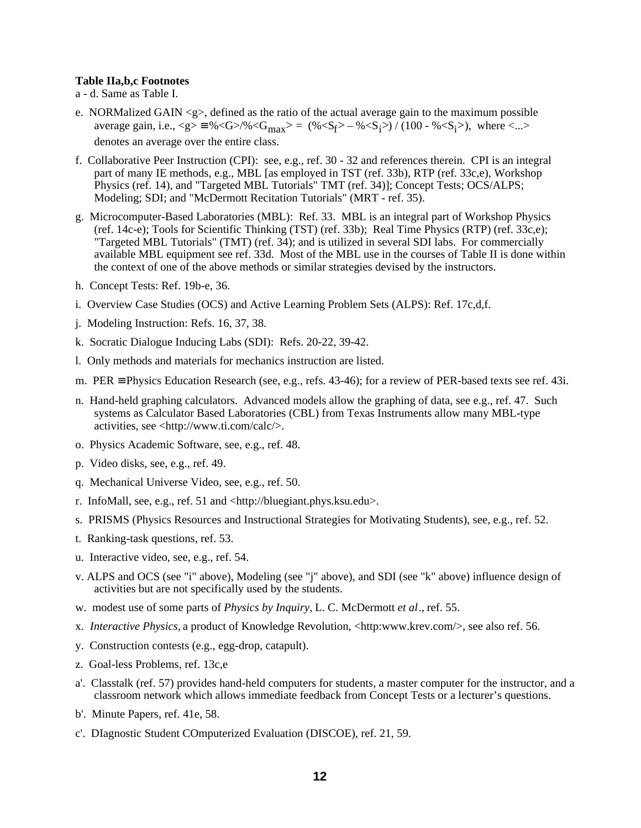#### **Table IIa,b,c Footnotes**

- a d. Same as Table I.
- e. NORMalized GAIN <g>, defined as the ratio of the actual average gain to the maximum possible average gain, i.e.,  $\langle g \rangle = \frac{9}{6} \langle G \rangle / \sqrt[6]{\langle G_{max} \rangle} = (\frac{9}{5} \langle S_f \rangle - \frac{9}{5} \langle S_i \rangle) / (100 - \frac{9}{5} \langle S_i \rangle)$ , where  $\langle ... \rangle$ denotes an average over the entire class.
- f. Collaborative Peer Instruction (CPI): see, e.g., ref. 30 32 and references therein. CPI is an integral part of many IE methods, e.g., MBL [as employed in TST (ref. 33b), RTP (ref. 33c,e), Workshop Physics (ref. 14), and "Targeted MBL Tutorials" TMT (ref. 34)]; Concept Tests; OCS/ALPS; Modeling; SDI; and "McDermott Recitation Tutorials" (MRT - ref. 35).
- g. Microcomputer-Based Laboratories (MBL): Ref. 33. MBL is an integral part of Workshop Physics (ref. 14c-e); Tools for Scientific Thinking (TST) (ref. 33b); Real Time Physics (RTP) (ref. 33c,e); "Targeted MBL Tutorials" (TMT) (ref. 34); and is utilized in several SDI labs. For commercially available MBL equipment see ref. 33d. Most of the MBL use in the courses of Table II is done within the context of one of the above methods or similar strategies devised by the instructors.
- h. Concept Tests: Ref. 19b-e, 36.
- i. Overview Case Studies (OCS) and Active Learning Problem Sets (ALPS): Ref. 17c,d,f.
- j. Modeling Instruction: Refs. 16, 37, 38.
- k. Socratic Dialogue Inducing Labs (SDI): Refs. 20-22, 39-42.
- l. Only methods and materials for mechanics instruction are listed.
- m. PER ≡ Physics Education Research (see, e.g., refs. 43-46); for a review of PER-based texts see ref. 43i.
- n. Hand-held graphing calculators. Advanced models allow the graphing of data, see e.g., ref. 47. Such systems as Calculator Based Laboratories (CBL) from Texas Instruments allow many MBL-type activities, see <http://www.ti.com/calc/>.
- o. Physics Academic Software, see, e.g., ref. 48.
- p. Video disks, see, e.g., ref. 49.
- q. Mechanical Universe Video, see, e.g., ref. 50.
- r. InfoMall, see, e.g., ref. 51 and <http://bluegiant.phys.ksu.edu>.
- s. PRISMS (Physics Resources and Instructional Strategies for Motivating Students), see, e.g., ref. 52.
- t. Ranking-task questions, ref. 53.
- u. Interactive video, see, e.g., ref. 54.
- v. ALPS and OCS (see "i" above), Modeling (see "j" above), and SDI (see "k" above) influence design of activities but are not specifically used by the students.
- w. modest use of some parts of *Physics by Inquiry,* L. C. McDermott *et al*., ref. 55.
- x. *Interactive Physics,* a product of Knowledge Revolution, <http:www.krev.com/>, see also ref. 56.
- y. Construction contests (e.g., egg-drop, catapult).
- z. Goal-less Problems, ref. 13c,e
- a'. Classtalk (ref. 57) provides hand-held computers for students, a master computer for the instructor, and a classroom network which allows immediate feedback from Concept Tests or a lecturer's questions.
- b'. Minute Papers, ref. 41e, 58.
- c'. DIagnostic Student COmputerized Evaluation (DISCOE), ref. 21, 59.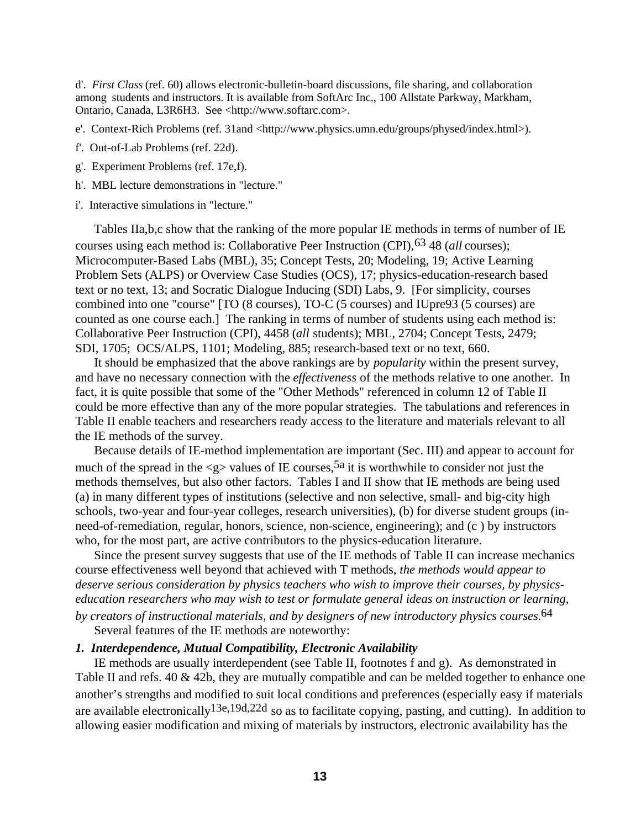d'. *First Class* (ref. 60) allows electronic-bulletin-board discussions, file sharing, and collaboration among students and instructors. It is available from SoftArc Inc., 100 Allstate Parkway, Markham, Ontario, Canada, L3R6H3. See <http://www.softarc.com>.

- e'. Context-Rich Problems (ref. 31and <http://www.physics.umn.edu/groups/physed/index.html>).
- f'. Out-of-Lab Problems (ref. 22d).
- g'. Experiment Problems (ref. 17e,f).
- h'. MBL lecture demonstrations in "lecture."
- i'. Interactive simulations in "lecture."

Tables IIa,b,c show that the ranking of the more popular IE methods in terms of number of IE courses using each method is: Collaborative Peer Instruction (CPI),63 48 (*all* courses); Microcomputer-Based Labs (MBL), 35; Concept Tests, 20; Modeling, 19; Active Learning Problem Sets (ALPS) or Overview Case Studies (OCS), 17; physics-education-research based text or no text, 13; and Socratic Dialogue Inducing (SDI) Labs, 9. [For simplicity, courses combined into one "course" [TO (8 courses), TO-C (5 courses) and IUpre93 (5 courses) are counted as one course each.] The ranking in terms of number of students using each method is: Collaborative Peer Instruction (CPI), 4458 (*all* students); MBL, 2704; Concept Tests, 2479; SDI, 1705; OCS/ALPS, 1101; Modeling, 885; research-based text or no text, 660.

It should be emphasized that the above rankings are by *popularity* within the present survey, and have no necessary connection with the *effectiveness* of the methods relative to one another. In fact, it is quite possible that some of the "Other Methods" referenced in column 12 of Table II could be more effective than any of the more popular strategies. The tabulations and references in Table II enable teachers and researchers ready access to the literature and materials relevant to all the IE methods of the survey.

Because details of IE-method implementation are important (Sec. III) and appear to account for much of the spread in the  $\langle 2 \rangle$  values of IE courses,<sup>5a</sup> it is worthwhile to consider not just the methods themselves, but also other factors. Tables I and II show that IE methods are being used (a) in many different types of institutions (selective and non selective, small- and big-city high schools, two-year and four-year colleges, research universities), (b) for diverse student groups (inneed-of-remediation, regular, honors, science, non-science, engineering); and (c ) by instructors who, for the most part, are active contributors to the physics-education literature.

Since the present survey suggests that use of the IE methods of Table II can increase mechanics course effectiveness well beyond that achieved with T methods, *the methods would appear to deserve serious consideration by physics teachers who wish to improve their courses, by physicseducation researchers who may wish to test or formulate general ideas on instruction or learning, by creators of instructional materials, and by designers of new introductory physics courses.*64

Several features of the IE methods are noteworthy:

## *1. Interdependence, Mutual Compatibility, Electronic Availability*

IE methods are usually interdependent (see Table II, footnotes f and g). As demonstrated in Table II and refs. 40 & 42b, they are mutually compatible and can be melded together to enhance one another's strengths and modified to suit local conditions and preferences (especially easy if materials are available electronically13e,19d,22d so as to facilitate copying, pasting, and cutting). In addition to allowing easier modification and mixing of materials by instructors, electronic availability has the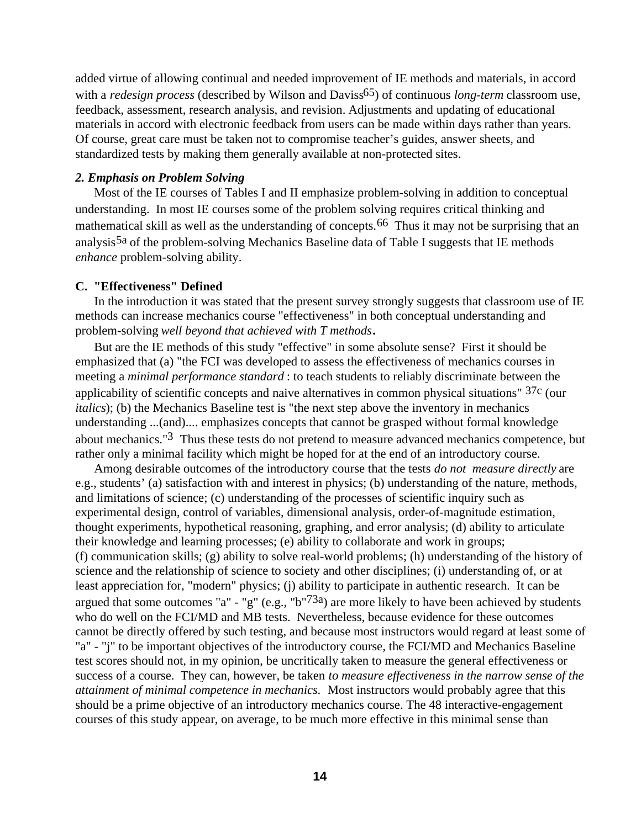added virtue of allowing continual and needed improvement of IE methods and materials, in accord with a *redesign process* (described by Wilson and Daviss<sup>65</sup>) of continuous *long-term* classroom use, feedback, assessment, research analysis, and revision. Adjustments and updating of educational materials in accord with electronic feedback from users can be made within days rather than years. Of course, great care must be taken not to compromise teacher's guides, answer sheets, and standardized tests by making them generally available at non-protected sites.

## *2. Emphasis on Problem Solving*

Most of the IE courses of Tables I and II emphasize problem-solving in addition to conceptual understanding. In most IE courses some of the problem solving requires critical thinking and mathematical skill as well as the understanding of concepts.<sup>66</sup> Thus it may not be surprising that an analysis<sup>5a</sup> of the problem-solving Mechanics Baseline data of Table I suggests that IE methods *enhance* problem-solving ability.

### **C. "Effectiveness" Defined**

In the introduction it was stated that the present survey strongly suggests that classroom use of IE methods can increase mechanics course "effectiveness" in both conceptual understanding and problem-solving *well beyond that achieved with T methods***.** 

But are the IE methods of this study "effective" in some absolute sense? First it should be emphasized that (a) "the FCI was developed to assess the effectiveness of mechanics courses in meeting a *minimal performance standard* : to teach students to reliably discriminate between the applicability of scientific concepts and naive alternatives in common physical situations" 37c (our *italics*); (b) the Mechanics Baseline test is "the next step above the inventory in mechanics understanding ...(and).... emphasizes concepts that cannot be grasped without formal knowledge about mechanics."3 Thus these tests do not pretend to measure advanced mechanics competence, but rather only a minimal facility which might be hoped for at the end of an introductory course.

Among desirable outcomes of the introductory course that the tests *do not measure directly* are e.g., students' (a) satisfaction with and interest in physics; (b) understanding of the nature, methods, and limitations of science; (c) understanding of the processes of scientific inquiry such as experimental design, control of variables, dimensional analysis, order-of-magnitude estimation, thought experiments, hypothetical reasoning, graphing, and error analysis; (d) ability to articulate their knowledge and learning processes; (e) ability to collaborate and work in groups; (f) communication skills; (g) ability to solve real-world problems; (h) understanding of the history of science and the relationship of science to society and other disciplines; (i) understanding of, or at least appreciation for, "modern" physics; (j) ability to participate in authentic research. It can be argued that some outcomes "a" - "g" (e.g., "b"<sup>73a</sup>) are more likely to have been achieved by students who do well on the FCI/MD and MB tests. Nevertheless, because evidence for these outcomes cannot be directly offered by such testing, and because most instructors would regard at least some of "a" - "j" to be important objectives of the introductory course, the FCI/MD and Mechanics Baseline test scores should not, in my opinion, be uncritically taken to measure the general effectiveness or success of a course. They can, however, be taken *to measure effectiveness in the narrow sense of the attainment of minimal competence in mechanics.* Most instructors would probably agree that this should be a prime objective of an introductory mechanics course. The 48 interactive-engagement courses of this study appear, on average, to be much more effective in this minimal sense than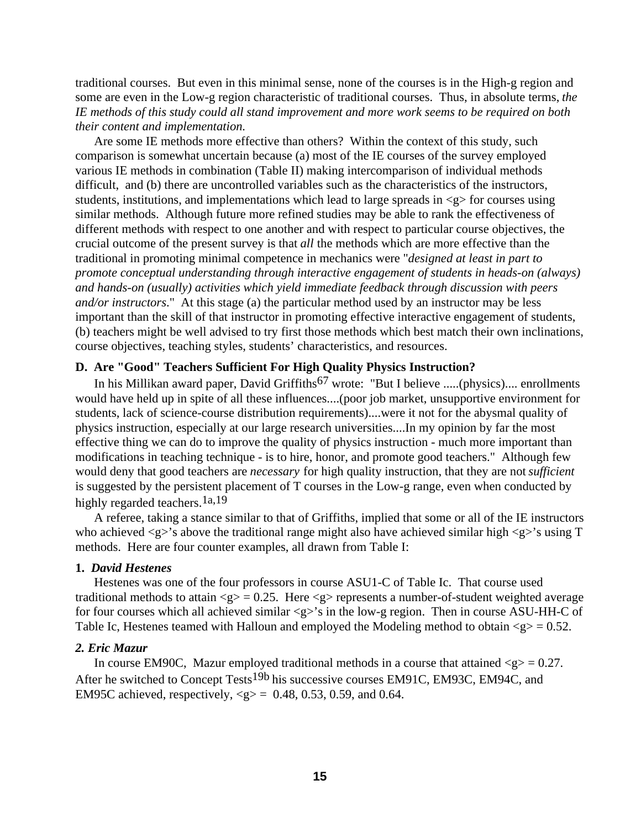traditional courses. But even in this minimal sense, none of the courses is in the High-g region and some are even in the Low-g region characteristic of traditional courses. Thus, in absolute terms, *the IE methods of this study could all stand improvement and more work seems to be required on both their content and implementation.*

Are some IE methods more effective than others? Within the context of this study, such comparison is somewhat uncertain because (a) most of the IE courses of the survey employed various IE methods in combination (Table II) making intercomparison of individual methods difficult, and (b) there are uncontrolled variables such as the characteristics of the instructors, students, institutions, and implementations which lead to large spreads in  $\langle g \rangle$  for courses using similar methods. Although future more refined studies may be able to rank the effectiveness of different methods with respect to one another and with respect to particular course objectives, the crucial outcome of the present survey is that *all* the methods which are more effective than the traditional in promoting minimal competence in mechanics were "*designed at least in part to promote conceptual understanding through interactive engagement of students in heads-on (always) and hands-on (usually) activities which yield immediate feedback through discussion with peers and/or instructors*." At this stage (a) the particular method used by an instructor may be less important than the skill of that instructor in promoting effective interactive engagement of students, (b) teachers might be well advised to try first those methods which best match their own inclinations, course objectives, teaching styles, students' characteristics, and resources.

### **D. Are "Good" Teachers Sufficient For High Quality Physics Instruction?**

In his Millikan award paper, David Griffiths<sup>67</sup> wrote: "But I believe .....(physics).... enrollments would have held up in spite of all these influences....(poor job market, unsupportive environment for students, lack of science-course distribution requirements)....were it not for the abysmal quality of physics instruction, especially at our large research universities....In my opinion by far the most effective thing we can do to improve the quality of physics instruction - much more important than modifications in teaching technique - is to hire, honor, and promote good teachers." Although few would deny that good teachers are *necessary* for high quality instruction, that they are not *sufficient* is suggested by the persistent placement of T courses in the Low-g range, even when conducted by highly regarded teachers.<sup>1a,19</sup>

A referee, taking a stance similar to that of Griffiths, implied that some or all of the IE instructors who achieved  $\langle g \rangle$ 's above the traditional range might also have achieved similar high  $\langle g \rangle$ 's using T methods. Here are four counter examples, all drawn from Table I:

### **1.** *David Hestenes*

Hestenes was one of the four professors in course ASU1-C of Table Ic. That course used traditional methods to attain  $\langle g \rangle = 0.25$ . Here  $\langle g \rangle$  represents a number-of-student weighted average for four courses which all achieved similar <g>'s in the low-g region. Then in course ASU-HH-C of Table Ic, Hestenes teamed with Halloun and employed the Modeling method to obtain  $\langle g \rangle = 0.52$ .

### *2. Eric Mazur*

In course EM90C, Mazur employed traditional methods in a course that attained  $\langle g \rangle = 0.27$ . After he switched to Concept Tests<sup>19b</sup> his successive courses EM91C, EM93C, EM94C, and EM95C achieved, respectively,  $\langle g \rangle = 0.48, 0.53, 0.59,$  and 0.64.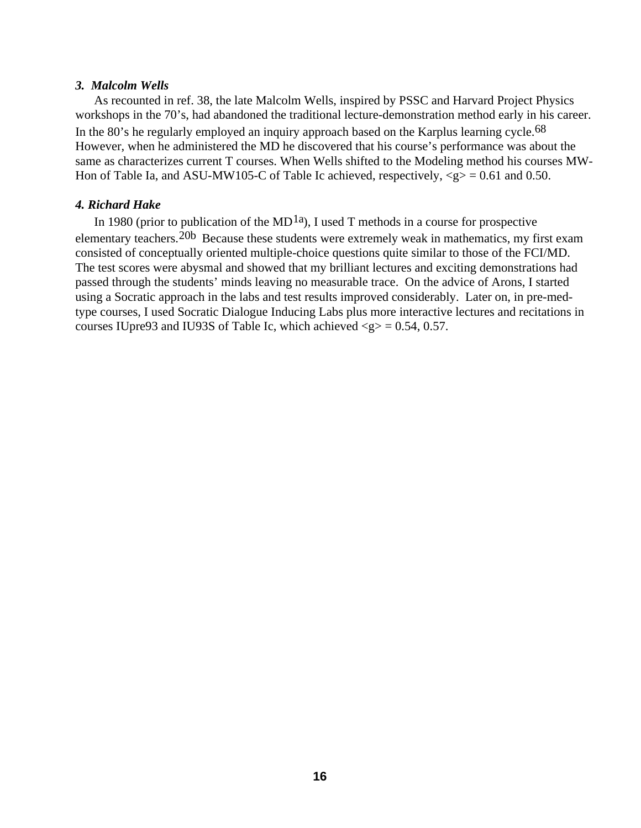## *3. Malcolm Wells*

As recounted in ref. 38, the late Malcolm Wells, inspired by PSSC and Harvard Project Physics workshops in the 70's, had abandoned the traditional lecture-demonstration method early in his career. In the 80's he regularly employed an inquiry approach based on the Karplus learning cycle.<sup>68</sup> However, when he administered the MD he discovered that his course's performance was about the same as characterizes current T courses. When Wells shifted to the Modeling method his courses MW-Hon of Table Ia, and ASU-MW105-C of Table Ic achieved, respectively,  $\langle g \rangle = 0.61$  and 0.50.

## *4. Richard Hake*

In 1980 (prior to publication of the MD<sup>1a</sup>), I used T methods in a course for prospective elementary teachers.20b Because these students were extremely weak in mathematics, my first exam consisted of conceptually oriented multiple-choice questions quite similar to those of the FCI/MD. The test scores were abysmal and showed that my brilliant lectures and exciting demonstrations had passed through the students' minds leaving no measurable trace. On the advice of Arons, I started using a Socratic approach in the labs and test results improved considerably. Later on, in pre-medtype courses, I used Socratic Dialogue Inducing Labs plus more interactive lectures and recitations in courses IUpre93 and IU93S of Table Ic, which achieved  $\langle$ g $\rangle$  = 0.54, 0.57.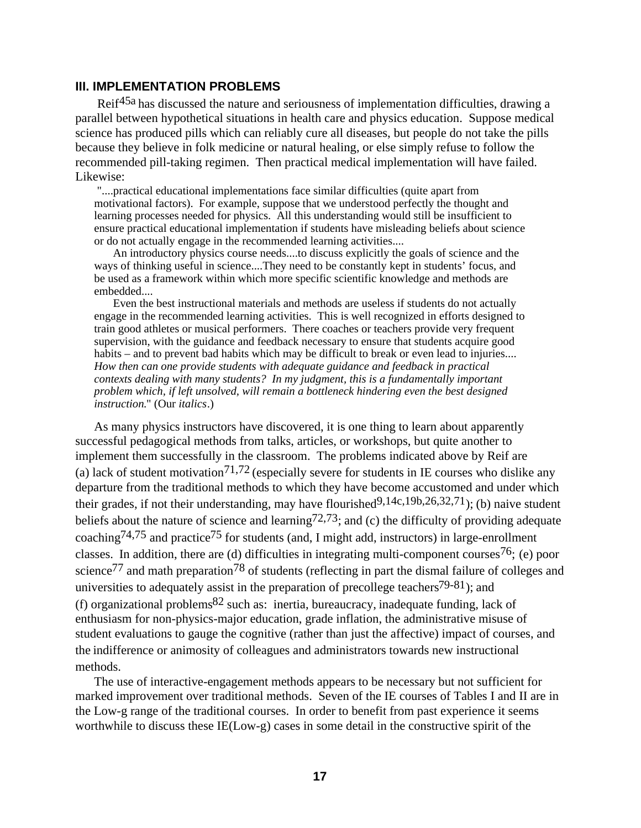## **III. IMPLEMENTATION PROBLEMS**

Reif<sup>45a</sup> has discussed the nature and seriousness of implementation difficulties, drawing a parallel between hypothetical situations in health care and physics education. Suppose medical science has produced pills which can reliably cure all diseases, but people do not take the pills because they believe in folk medicine or natural healing, or else simply refuse to follow the recommended pill-taking regimen. Then practical medical implementation will have failed. Likewise:

 "....practical educational implementations face similar difficulties (quite apart from motivational factors). For example, suppose that we understood perfectly the thought and learning processes needed for physics. All this understanding would still be insufficient to ensure practical educational implementation if students have misleading beliefs about science or do not actually engage in the recommended learning activities....

An introductory physics course needs....to discuss explicitly the goals of science and the ways of thinking useful in science....They need to be constantly kept in students' focus, and be used as a framework within which more specific scientific knowledge and methods are embedded....

Even the best instructional materials and methods are useless if students do not actually engage in the recommended learning activities. This is well recognized in efforts designed to train good athletes or musical performers. There coaches or teachers provide very frequent supervision, with the guidance and feedback necessary to ensure that students acquire good habits – and to prevent bad habits which may be difficult to break or even lead to injuries.... *How then can one provide students with adequate guidance and feedback in practical contexts dealing with many students? In my judgment, this is a fundamentally important problem which, if left unsolved, will remain a bottleneck hindering even the best designed instruction.*" (Our *italics*.)

As many physics instructors have discovered, it is one thing to learn about apparently successful pedagogical methods from talks, articles, or workshops, but quite another to implement them successfully in the classroom. The problems indicated above by Reif are (a) lack of student motivation<sup>71,72</sup> (especially severe for students in IE courses who dislike any departure from the traditional methods to which they have become accustomed and under which their grades, if not their understanding, may have flourished $9,14c,19b,26,32,71$ ; (b) naive student beliefs about the nature of science and learning<sup>72,73</sup>; and (c) the difficulty of providing adequate coaching<sup>74,75</sup> and practice<sup>75</sup> for students (and, I might add, instructors) in large-enrollment classes. In addition, there are (d) difficulties in integrating multi-component courses<sup>76</sup>; (e) poor science<sup>77</sup> and math preparation<sup>78</sup> of students (reflecting in part the dismal failure of colleges and universities to adequately assist in the preparation of precollege teachers<sup>79-81</sup>); and (f) organizational problems  $82$  such as: inertia, bureaucracy, inadequate funding, lack of enthusiasm for non-physics-major education, grade inflation, the administrative misuse of student evaluations to gauge the cognitive (rather than just the affective) impact of courses, and the indifference or animosity of colleagues and administrators towards new instructional methods.

The use of interactive-engagement methods appears to be necessary but not sufficient for marked improvement over traditional methods. Seven of the IE courses of Tables I and II are in the Low-g range of the traditional courses. In order to benefit from past experience it seems worthwhile to discuss these IE(Low-g) cases in some detail in the constructive spirit of the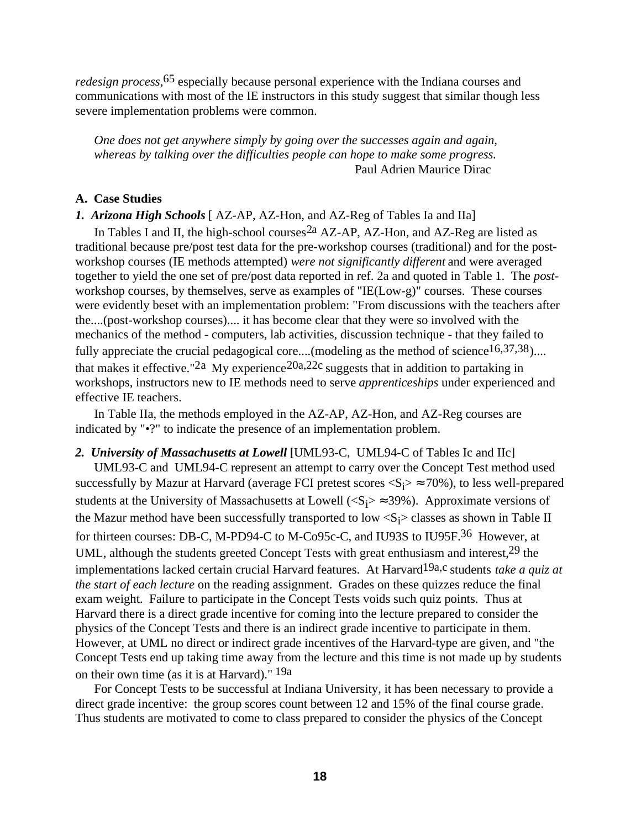*redesign process*,65 especially because personal experience with the Indiana courses and communications with most of the IE instructors in this study suggest that similar though less severe implementation problems were common.

 *One does not get anywhere simply by going over the successes again and again, whereas by talking over the difficulties people can hope to make some progress.* Paul Adrien Maurice Dirac

## **A. Case Studies**

## *1. Arizona High Schools* [ AZ-AP, AZ-Hon, and AZ-Reg of Tables Ia and IIa]

In Tables I and II, the high-school courses  $^{2a}$  AZ-AP, AZ-Hon, and AZ-Reg are listed as traditional because pre/post test data for the pre-workshop courses (traditional) and for the postworkshop courses (IE methods attempted) *were not significantly different* and were averaged together to yield the one set of pre/post data reported in ref. 2a and quoted in Table 1. The *post*workshop courses, by themselves, serve as examples of "IE(Low-g)" courses. These courses were evidently beset with an implementation problem: "From discussions with the teachers after the....(post-workshop courses).... it has become clear that they were so involved with the mechanics of the method - computers, lab activities, discussion technique - that they failed to fully appreciate the crucial pedagogical core....(modeling as the method of science<sup>16,37,38</sup>).... that makes it effective."<sup>2a</sup> My experience<sup>20a,22c</sup> suggests that in addition to partaking in workshops, instructors new to IE methods need to serve *apprenticeships* under experienced and effective IE teachers.

In Table IIa, the methods employed in the AZ-AP, AZ-Hon, and AZ-Reg courses are indicated by "•?" to indicate the presence of an implementation problem.

# *2. University of Massachusetts at Lowell* **[**UML93-C, UML94-C of Tables Ic and IIc] UML93-C and UML94-C represent an attempt to carry over the Concept Test method used successfully by Mazur at Harvard (average FCI pretest scores  $\langle S_i \rangle \approx 70\%$ ), to less well-prepared students at the University of Massachusetts at Lowell ( $\langle S_i \rangle \approx 39\%$ ). Approximate versions of the Mazur method have been successfully transported to low  $\langle S_i \rangle$  classes as shown in Table II for thirteen courses: DB-C, M-PD94-C to M-Co95c-C, and IU93S to IU95F.36 However, at UML, although the students greeted Concept Tests with great enthusiasm and interest, <sup>29</sup> the implementations lacked certain crucial Harvard features. At Harvard<sup>19a,c</sup> students *take a quiz at the start of each lecture* on the reading assignment. Grades on these quizzes reduce the final exam weight. Failure to participate in the Concept Tests voids such quiz points. Thus at Harvard there is a direct grade incentive for coming into the lecture prepared to consider the physics of the Concept Tests and there is an indirect grade incentive to participate in them. However, at UML no direct or indirect grade incentives of the Harvard-type are given, and "the Concept Tests end up taking time away from the lecture and this time is not made up by students on their own time (as it is at Harvard)." 19a

For Concept Tests to be successful at Indiana University, it has been necessary to provide a direct grade incentive: the group scores count between 12 and 15% of the final course grade. Thus students are motivated to come to class prepared to consider the physics of the Concept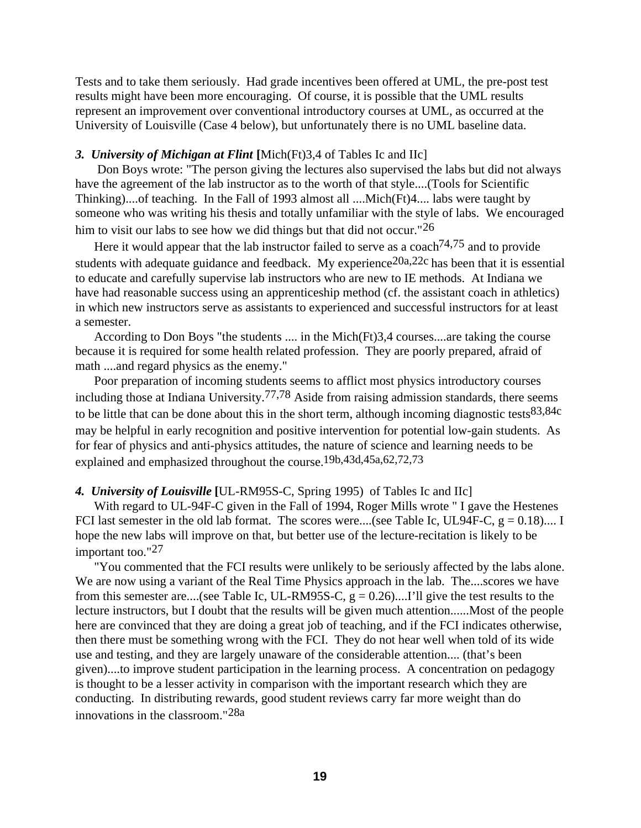Tests and to take them seriously. Had grade incentives been offered at UML, the pre-post test results might have been more encouraging. Of course, it is possible that the UML results represent an improvement over conventional introductory courses at UML, as occurred at the University of Louisville (Case 4 below), but unfortunately there is no UML baseline data.

## *3. University of Michigan at Flint* **[**Mich(Ft)3,4 of Tables Ic and IIc]

 Don Boys wrote: "The person giving the lectures also supervised the labs but did not always have the agreement of the lab instructor as to the worth of that style....(Tools for Scientific Thinking)....of teaching. In the Fall of 1993 almost all ....Mich(Ft)4.... labs were taught by someone who was writing his thesis and totally unfamiliar with the style of labs. We encouraged him to visit our labs to see how we did things but that did not occur."<sup>26</sup>

Here it would appear that the lab instructor failed to serve as a coach<sup> $74,75$ </sup> and to provide students with adequate guidance and feedback. My experience<sup>20a,22c</sup> has been that it is essential to educate and carefully supervise lab instructors who are new to IE methods. At Indiana we have had reasonable success using an apprenticeship method (cf. the assistant coach in athletics) in which new instructors serve as assistants to experienced and successful instructors for at least a semester.

According to Don Boys "the students .... in the Mich(Ft)3,4 courses....are taking the course because it is required for some health related profession. They are poorly prepared, afraid of math ....and regard physics as the enemy."

Poor preparation of incoming students seems to afflict most physics introductory courses including those at Indiana University.<sup>77,78</sup> Aside from raising admission standards, there seems to be little that can be done about this in the short term, although incoming diagnostic tests  $83,84c$ may be helpful in early recognition and positive intervention for potential low-gain students. As for fear of physics and anti-physics attitudes, the nature of science and learning needs to be explained and emphasized throughout the course.19b,43d,45a,62,72,73

## *4. University of Louisville* **[**UL-RM95S-C, Spring 1995) of Tables Ic and IIc]

With regard to UL-94F-C given in the Fall of 1994, Roger Mills wrote " I gave the Hestenes FCI last semester in the old lab format. The scores were....(see Table Ic, UL94F-C,  $g = 0.18$ ).... I hope the new labs will improve on that, but better use of the lecture-recitation is likely to be important too."<sup>27</sup>

"You commented that the FCI results were unlikely to be seriously affected by the labs alone. We are now using a variant of the Real Time Physics approach in the lab. The....scores we have from this semester are....(see Table Ic, UL-RM95S-C,  $g = 0.26$ )....I'll give the test results to the lecture instructors, but I doubt that the results will be given much attention......Most of the people here are convinced that they are doing a great job of teaching, and if the FCI indicates otherwise, then there must be something wrong with the FCI. They do not hear well when told of its wide use and testing, and they are largely unaware of the considerable attention.... (that's been given)....to improve student participation in the learning process. A concentration on pedagogy is thought to be a lesser activity in comparison with the important research which they are conducting. In distributing rewards, good student reviews carry far more weight than do innovations in the classroom."28a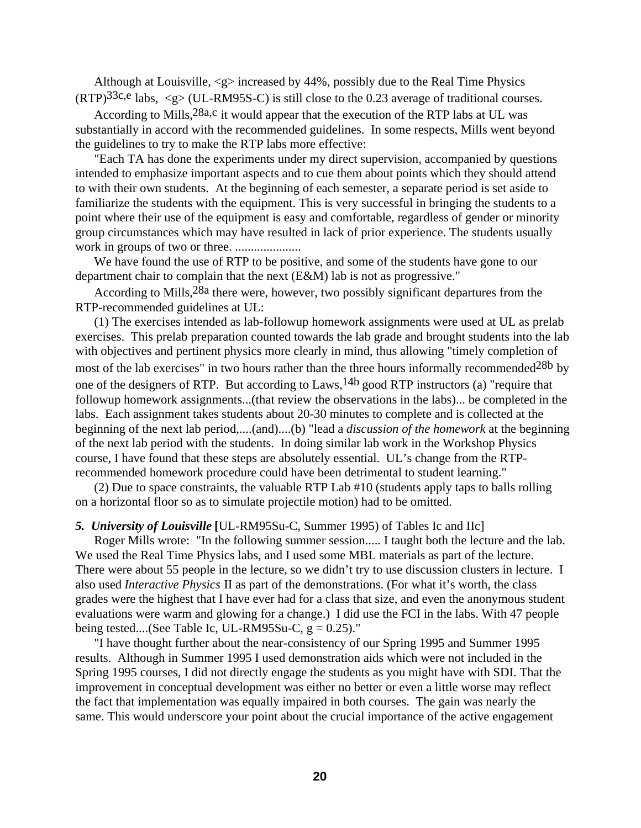Although at Louisville,  $\langle g \rangle$  increased by 44%, possibly due to the Real Time Physics  $(RTP)^{33c,e}$  labs,  $\langle g \rangle$  (UL-RM95S-C) is still close to the 0.23 average of traditional courses.

According to Mills, <sup>28a,c</sup> it would appear that the execution of the RTP labs at UL was substantially in accord with the recommended guidelines. In some respects, Mills went beyond the guidelines to try to make the RTP labs more effective:

"Each TA has done the experiments under my direct supervision, accompanied by questions intended to emphasize important aspects and to cue them about points which they should attend to with their own students. At the beginning of each semester, a separate period is set aside to familiarize the students with the equipment. This is very successful in bringing the students to a point where their use of the equipment is easy and comfortable, regardless of gender or minority group circumstances which may have resulted in lack of prior experience. The students usually work in groups of two or three. .....................

We have found the use of RTP to be positive, and some of the students have gone to our department chair to complain that the next (E&M) lab is not as progressive."

According to Mills,<sup>28a</sup> there were, however, two possibly significant departures from the RTP-recommended guidelines at UL:

(1) The exercises intended as lab-followup homework assignments were used at UL as prelab exercises. This prelab preparation counted towards the lab grade and brought students into the lab with objectives and pertinent physics more clearly in mind, thus allowing "timely completion of most of the lab exercises" in two hours rather than the three hours informally recommended<sup>28b</sup> by one of the designers of RTP. But according to Laws,  $14b$  good RTP instructors (a) "require that followup homework assignments...(that review the observations in the labs)... be completed in the labs. Each assignment takes students about 20-30 minutes to complete and is collected at the beginning of the next lab period,....(and)....(b) "lead a *discussion of the homework* at the beginning of the next lab period with the students. In doing similar lab work in the Workshop Physics course, I have found that these steps are absolutely essential. UL's change from the RTPrecommended homework procedure could have been detrimental to student learning."

(2) Due to space constraints, the valuable RTP Lab #10 (students apply taps to balls rolling on a horizontal floor so as to simulate projectile motion) had to be omitted.

### *5. University of Louisville* **[**UL-RM95Su-C, Summer 1995) of Tables Ic and IIc]

Roger Mills wrote: "In the following summer session..... I taught both the lecture and the lab. We used the Real Time Physics labs, and I used some MBL materials as part of the lecture. There were about 55 people in the lecture, so we didn't try to use discussion clusters in lecture. I also used *Interactive Physics* II as part of the demonstrations. (For what it's worth, the class grades were the highest that I have ever had for a class that size, and even the anonymous student evaluations were warm and glowing for a change.) I did use the FCI in the labs. With 47 people being tested....(See Table Ic, UL-RM95Su-C,  $g = 0.25$ )."

"I have thought further about the near-consistency of our Spring 1995 and Summer 1995 results. Although in Summer 1995 I used demonstration aids which were not included in the Spring 1995 courses, I did not directly engage the students as you might have with SDI. That the improvement in conceptual development was either no better or even a little worse may reflect the fact that implementation was equally impaired in both courses. The gain was nearly the same. This would underscore your point about the crucial importance of the active engagement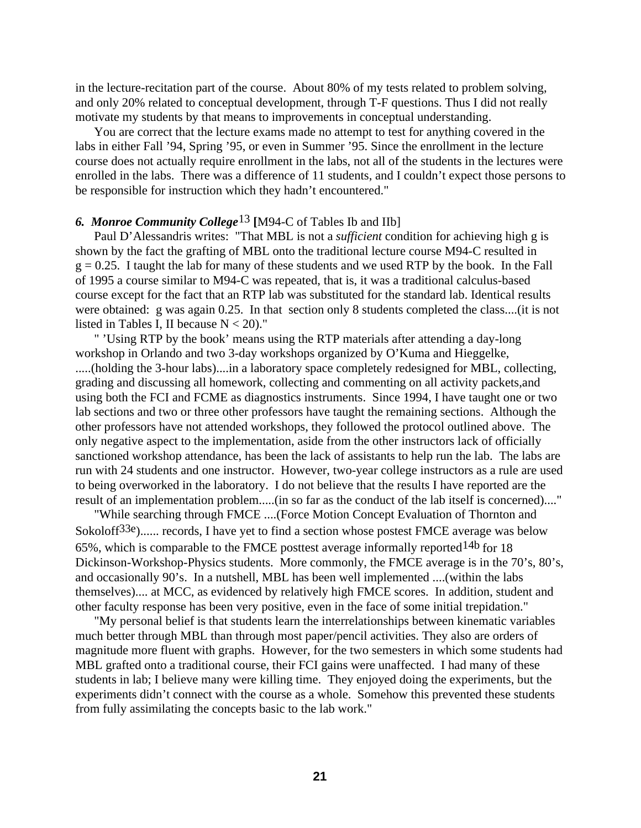in the lecture-recitation part of the course. About 80% of my tests related to problem solving, and only 20% related to conceptual development, through T-F questions. Thus I did not really motivate my students by that means to improvements in conceptual understanding.

You are correct that the lecture exams made no attempt to test for anything covered in the labs in either Fall '94, Spring '95, or even in Summer '95. Since the enrollment in the lecture course does not actually require enrollment in the labs, not all of the students in the lectures were enrolled in the labs. There was a difference of 11 students, and I couldn't expect those persons to be responsible for instruction which they hadn't encountered."

## *6. Monroe Community College*13 **[**M94-C of Tables Ib and IIb]

Paul D'Alessandris writes: "That MBL is not a *sufficient* condition for achieving high g is shown by the fact the grafting of MBL onto the traditional lecture course M94-C resulted in  $g = 0.25$ . I taught the lab for many of these students and we used RTP by the book. In the Fall of 1995 a course similar to M94-C was repeated, that is, it was a traditional calculus-based course except for the fact that an RTP lab was substituted for the standard lab. Identical results were obtained: g was again 0.25. In that section only 8 students completed the class....(it is not listed in Tables I, II because  $N < 20$ )."

" 'Using RTP by the book' means using the RTP materials after attending a day-long workshop in Orlando and two 3-day workshops organized by O'Kuma and Hieggelke, .....(holding the 3-hour labs)....in a laboratory space completely redesigned for MBL, collecting, grading and discussing all homework, collecting and commenting on all activity packets,and using both the FCI and FCME as diagnostics instruments. Since 1994, I have taught one or two lab sections and two or three other professors have taught the remaining sections. Although the other professors have not attended workshops, they followed the protocol outlined above. The only negative aspect to the implementation, aside from the other instructors lack of officially sanctioned workshop attendance, has been the lack of assistants to help run the lab. The labs are run with 24 students and one instructor. However, two-year college instructors as a rule are used to being overworked in the laboratory. I do not believe that the results I have reported are the result of an implementation problem.....(in so far as the conduct of the lab itself is concerned)...."

"While searching through FMCE ....(Force Motion Concept Evaluation of Thornton and Sokoloff<sup>33e</sup>)...... records, I have yet to find a section whose postest FMCE average was below 65%, which is comparable to the FMCE posttest average informally reported  $14b$  for 18 Dickinson-Workshop-Physics students. More commonly, the FMCE average is in the 70's, 80's, and occasionally 90's. In a nutshell, MBL has been well implemented ....(within the labs themselves).... at MCC, as evidenced by relatively high FMCE scores. In addition, student and other faculty response has been very positive, even in the face of some initial trepidation."

"My personal belief is that students learn the interrelationships between kinematic variables much better through MBL than through most paper/pencil activities. They also are orders of magnitude more fluent with graphs. However, for the two semesters in which some students had MBL grafted onto a traditional course, their FCI gains were unaffected. I had many of these students in lab; I believe many were killing time. They enjoyed doing the experiments, but the experiments didn't connect with the course as a whole. Somehow this prevented these students from fully assimilating the concepts basic to the lab work."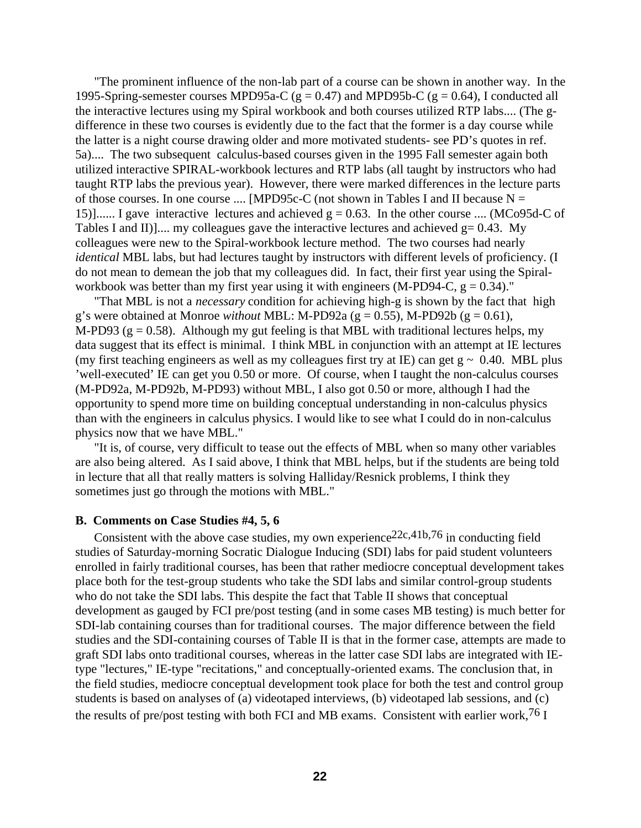"The prominent influence of the non-lab part of a course can be shown in another way. In the 1995-Spring-semester courses MPD95a-C ( $g = 0.47$ ) and MPD95b-C ( $g = 0.64$ ), I conducted all the interactive lectures using my Spiral workbook and both courses utilized RTP labs.... (The gdifference in these two courses is evidently due to the fact that the former is a day course while the latter is a night course drawing older and more motivated students- see PD's quotes in ref. 5a).... The two subsequent calculus-based courses given in the 1995 Fall semester again both utilized interactive SPIRAL-workbook lectures and RTP labs (all taught by instructors who had taught RTP labs the previous year). However, there were marked differences in the lecture parts of those courses. In one course .... [MPD95c-C (not shown in Tables I and II because  $N =$ 15)]...... I gave interactive lectures and achieved  $g = 0.63$ . In the other course .... (MCo95d-C of Tables I and II)].... my colleagues gave the interactive lectures and achieved  $g = 0.43$ . My colleagues were new to the Spiral-workbook lecture method. The two courses had nearly *identical* MBL labs, but had lectures taught by instructors with different levels of proficiency. (I do not mean to demean the job that my colleagues did. In fact, their first year using the Spiralworkbook was better than my first year using it with engineers (M-PD94-C,  $g = 0.34$ )."

"That MBL is not a *necessary* condition for achieving high-g is shown by the fact that high g's were obtained at Monroe *without* MBL: M-PD92a ( $g = 0.55$ ), M-PD92b ( $g = 0.61$ ), M-PD93 ( $g = 0.58$ ). Although my gut feeling is that MBL with traditional lectures helps, my data suggest that its effect is minimal. I think MBL in conjunction with an attempt at IE lectures (my first teaching engineers as well as my colleagues first try at IE) can get  $g \sim 0.40$ . MBL plus 'well-executed' IE can get you 0.50 or more. Of course, when I taught the non-calculus courses (M-PD92a, M-PD92b, M-PD93) without MBL, I also got 0.50 or more, although I had the opportunity to spend more time on building conceptual understanding in non-calculus physics than with the engineers in calculus physics. I would like to see what I could do in non-calculus physics now that we have MBL."

"It is, of course, very difficult to tease out the effects of MBL when so many other variables are also being altered. As I said above, I think that MBL helps, but if the students are being told in lecture that all that really matters is solving Halliday/Resnick problems, I think they sometimes just go through the motions with MBL."

### **B. Comments on Case Studies #4, 5, 6**

Consistent with the above case studies, my own experience<sup>22c,41b,76</sup> in conducting field studies of Saturday-morning Socratic Dialogue Inducing (SDI) labs for paid student volunteers enrolled in fairly traditional courses, has been that rather mediocre conceptual development takes place both for the test-group students who take the SDI labs and similar control-group students who do not take the SDI labs. This despite the fact that Table II shows that conceptual development as gauged by FCI pre/post testing (and in some cases MB testing) is much better for SDI-lab containing courses than for traditional courses. The major difference between the field studies and the SDI-containing courses of Table II is that in the former case, attempts are made to graft SDI labs onto traditional courses, whereas in the latter case SDI labs are integrated with IEtype "lectures," IE-type "recitations," and conceptually-oriented exams. The conclusion that, in the field studies, mediocre conceptual development took place for both the test and control group students is based on analyses of (a) videotaped interviews, (b) videotaped lab sessions, and (c) the results of pre/post testing with both FCI and MB exams. Consistent with earlier work,  $76$  I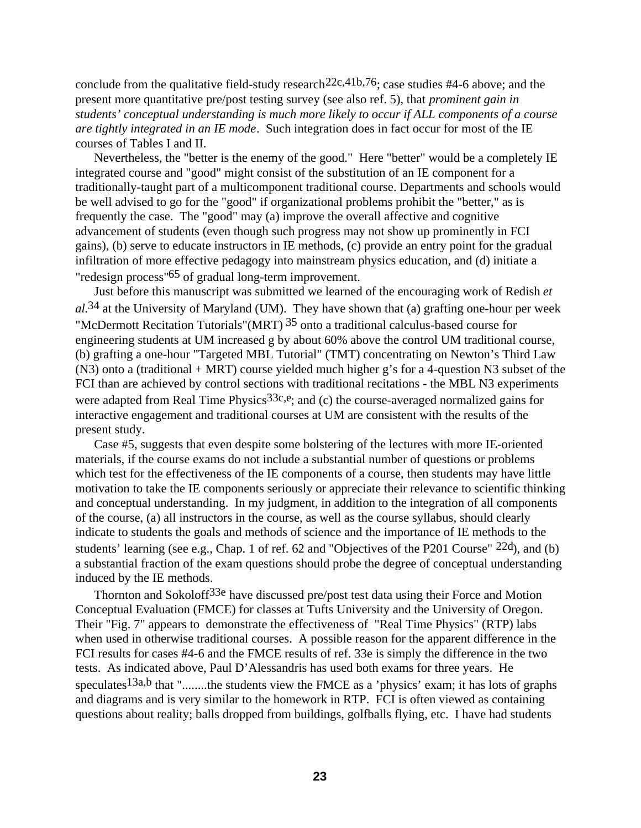conclude from the qualitative field-study research<sup>22c,41b,76</sup>; case studies #4-6 above; and the present more quantitative pre/post testing survey (see also ref. 5), that *prominent gain in students' conceptual understanding is much more likely to occur if ALL components of a course are tightly integrated in an IE mode*. Such integration does in fact occur for most of the IE courses of Tables I and II.

Nevertheless, the "better is the enemy of the good." Here "better" would be a completely IE integrated course and "good" might consist of the substitution of an IE component for a traditionally-taught part of a multicomponent traditional course. Departments and schools would be well advised to go for the "good" if organizational problems prohibit the "better," as is frequently the case. The "good" may (a) improve the overall affective and cognitive advancement of students (even though such progress may not show up prominently in FCI gains), (b) serve to educate instructors in IE methods, (c) provide an entry point for the gradual infiltration of more effective pedagogy into mainstream physics education, and (d) initiate a "redesign process"65 of gradual long-term improvement.

Just before this manuscript was submitted we learned of the encouraging work of Redish *et al.*34 at the University of Maryland (UM). They have shown that (a) grafting one-hour per week "McDermott Recitation Tutorials" (MRT)  $35$  onto a traditional calculus-based course for engineering students at UM increased g by about 60% above the control UM traditional course, (b) grafting a one-hour "Targeted MBL Tutorial" (TMT) concentrating on Newton's Third Law (N3) onto a (traditional + MRT) course yielded much higher g's for a 4-question N3 subset of the FCI than are achieved by control sections with traditional recitations - the MBL N3 experiments were adapted from Real Time Physics<sup>33c,e</sup>; and (c) the course-averaged normalized gains for interactive engagement and traditional courses at UM are consistent with the results of the present study.

Case #5, suggests that even despite some bolstering of the lectures with more IE-oriented materials, if the course exams do not include a substantial number of questions or problems which test for the effectiveness of the IE components of a course, then students may have little motivation to take the IE components seriously or appreciate their relevance to scientific thinking and conceptual understanding. In my judgment, in addition to the integration of all components of the course, (a) all instructors in the course, as well as the course syllabus, should clearly indicate to students the goals and methods of science and the importance of IE methods to the students' learning (see e.g., Chap. 1 of ref. 62 and "Objectives of the P201 Course" 22d), and (b) a substantial fraction of the exam questions should probe the degree of conceptual understanding induced by the IE methods.

Thornton and Sokoloff<sup>33e</sup> have discussed pre/post test data using their Force and Motion Conceptual Evaluation (FMCE) for classes at Tufts University and the University of Oregon. Their "Fig. 7" appears to demonstrate the effectiveness of "Real Time Physics" (RTP) labs when used in otherwise traditional courses. A possible reason for the apparent difference in the FCI results for cases #4-6 and the FMCE results of ref. 33e is simply the difference in the two tests. As indicated above, Paul D'Alessandris has used both exams for three years. He speculates<sup>13a,b</sup> that "........the students view the FMCE as a 'physics' exam; it has lots of graphs and diagrams and is very similar to the homework in RTP. FCI is often viewed as containing questions about reality; balls dropped from buildings, golfballs flying, etc. I have had students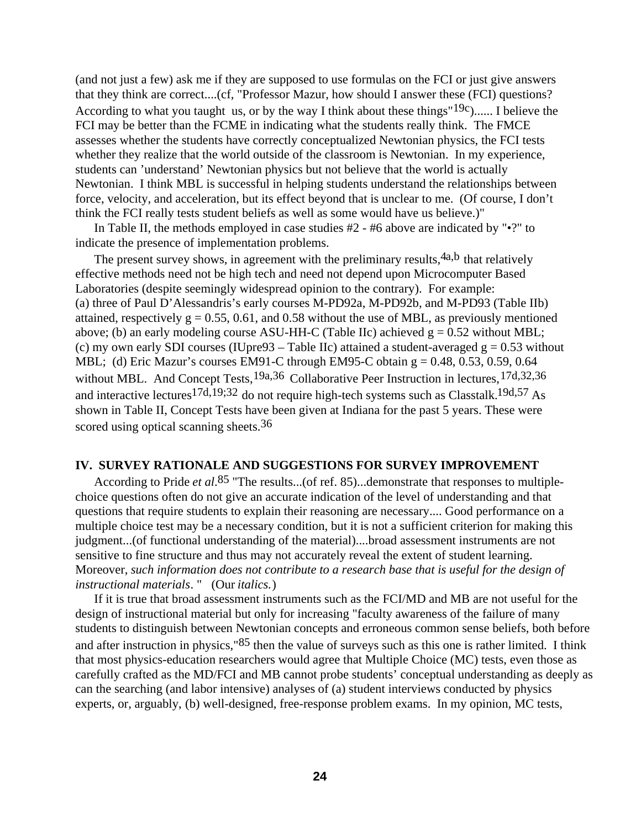(and not just a few) ask me if they are supposed to use formulas on the FCI or just give answers that they think are correct....(cf, "Professor Mazur, how should I answer these (FCI) questions? According to what you taught us, or by the way I think about these things"  $19c$ )...... I believe the FCI may be better than the FCME in indicating what the students really think. The FMCE assesses whether the students have correctly conceptualized Newtonian physics, the FCI tests whether they realize that the world outside of the classroom is Newtonian. In my experience, students can 'understand' Newtonian physics but not believe that the world is actually Newtonian. I think MBL is successful in helping students understand the relationships between force, velocity, and acceleration, but its effect beyond that is unclear to me. (Of course, I don't think the FCI really tests student beliefs as well as some would have us believe.)"

In Table II, the methods employed in case studies  $#2 - #6$  above are indicated by " $\cdot$ ?" to indicate the presence of implementation problems.

The present survey shows, in agreement with the preliminary results,  $4a$ ,  $b$  that relatively effective methods need not be high tech and need not depend upon Microcomputer Based Laboratories (despite seemingly widespread opinion to the contrary). For example: (a) three of Paul D'Alessandris's early courses M-PD92a, M-PD92b, and M-PD93 (Table IIb) attained, respectively  $g = 0.55, 0.61$ , and 0.58 without the use of MBL, as previously mentioned above; (b) an early modeling course ASU-HH-C (Table IIc) achieved  $g = 0.52$  without MBL; (c) my own early SDI courses (IUpre93 – Table IIc) attained a student-averaged  $g = 0.53$  without MBL; (d) Eric Mazur's courses EM91-C through EM95-C obtain  $g = 0.48, 0.53, 0.59, 0.64$ without MBL. And Concept Tests,<sup>19a,36</sup> Collaborative Peer Instruction in lectures,<sup>17d,32,36</sup> and interactive lectures<sup>17d,19;32</sup> do not require high-tech systems such as Classtalk.<sup>19d,57</sup> As shown in Table II, Concept Tests have been given at Indiana for the past 5 years. These were scored using optical scanning sheets.<sup>36</sup>

## **IV. SURVEY RATIONALE AND SUGGESTIONS FOR SURVEY IMPROVEMENT**

According to Pride *et al*.85 "The results...(of ref. 85)...demonstrate that responses to multiplechoice questions often do not give an accurate indication of the level of understanding and that questions that require students to explain their reasoning are necessary.... Good performance on a multiple choice test may be a necessary condition, but it is not a sufficient criterion for making this judgment...(of functional understanding of the material)....broad assessment instruments are not sensitive to fine structure and thus may not accurately reveal the extent of student learning. Moreover, *such information does not contribute to a research base that is useful for the design of instructional materials*. " (Our *italics.*)

If it is true that broad assessment instruments such as the FCI/MD and MB are not useful for the design of instructional material but only for increasing "faculty awareness of the failure of many students to distinguish between Newtonian concepts and erroneous common sense beliefs, both before and after instruction in physics,"85 then the value of surveys such as this one is rather limited. I think that most physics-education researchers would agree that Multiple Choice (MC) tests, even those as carefully crafted as the MD/FCI and MB cannot probe students' conceptual understanding as deeply as can the searching (and labor intensive) analyses of (a) student interviews conducted by physics experts, or, arguably, (b) well-designed, free-response problem exams. In my opinion, MC tests,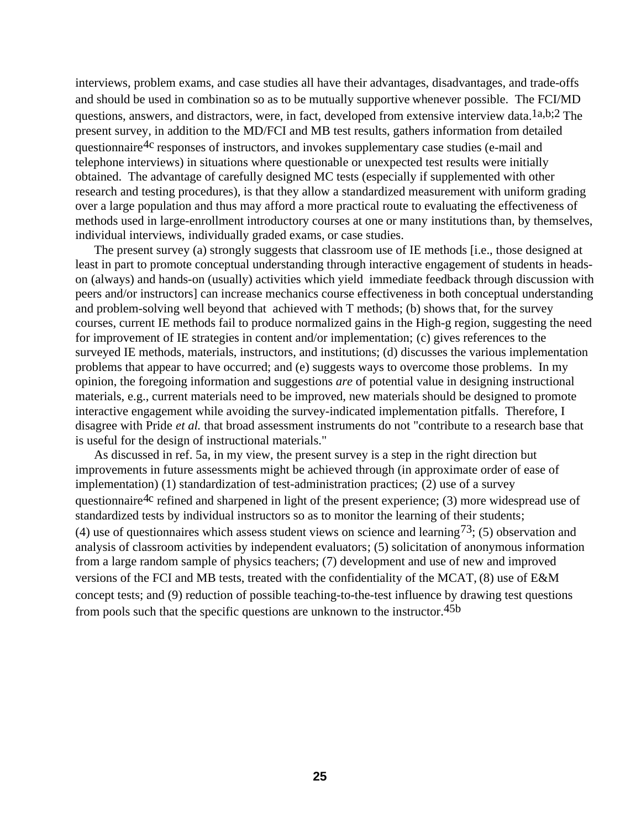interviews, problem exams, and case studies all have their advantages, disadvantages, and trade-offs and should be used in combination so as to be mutually supportive whenever possible. The FCI/MD questions, answers, and distractors, were, in fact, developed from extensive interview data.1a,b;2 The present survey, in addition to the MD/FCI and MB test results, gathers information from detailed questionnaire<sup>4c</sup> responses of instructors, and invokes supplementary case studies (e-mail and telephone interviews) in situations where questionable or unexpected test results were initially obtained. The advantage of carefully designed MC tests (especially if supplemented with other research and testing procedures), is that they allow a standardized measurement with uniform grading over a large population and thus may afford a more practical route to evaluating the effectiveness of methods used in large-enrollment introductory courses at one or many institutions than, by themselves, individual interviews, individually graded exams, or case studies.

The present survey (a) strongly suggests that classroom use of IE methods [i.e., those designed at least in part to promote conceptual understanding through interactive engagement of students in headson (always) and hands-on (usually) activities which yield immediate feedback through discussion with peers and/or instructors] can increase mechanics course effectiveness in both conceptual understanding and problem-solving well beyond that achieved with T methods; (b) shows that, for the survey courses, current IE methods fail to produce normalized gains in the High-g region, suggesting the need for improvement of IE strategies in content and/or implementation; (c) gives references to the surveyed IE methods, materials, instructors, and institutions; (d) discusses the various implementation problems that appear to have occurred; and (e) suggests ways to overcome those problems. In my opinion, the foregoing information and suggestions *are* of potential value in designing instructional materials, e.g., current materials need to be improved, new materials should be designed to promote interactive engagement while avoiding the survey-indicated implementation pitfalls. Therefore, I disagree with Pride *et al.* that broad assessment instruments do not "contribute to a research base that is useful for the design of instructional materials."

As discussed in ref. 5a, in my view, the present survey is a step in the right direction but improvements in future assessments might be achieved through (in approximate order of ease of implementation) (1) standardization of test-administration practices; (2) use of a survey questionnaire<sup>4c</sup> refined and sharpened in light of the present experience; (3) more widespread use of standardized tests by individual instructors so as to monitor the learning of their students; (4) use of questionnaires which assess student views on science and learning<sup>73</sup>; (5) observation and analysis of classroom activities by independent evaluators; (5) solicitation of anonymous information from a large random sample of physics teachers; (7) development and use of new and improved versions of the FCI and MB tests, treated with the confidentiality of the MCAT, (8) use of E&M concept tests; and (9) reduction of possible teaching-to-the-test influence by drawing test questions from pools such that the specific questions are unknown to the instructor.45b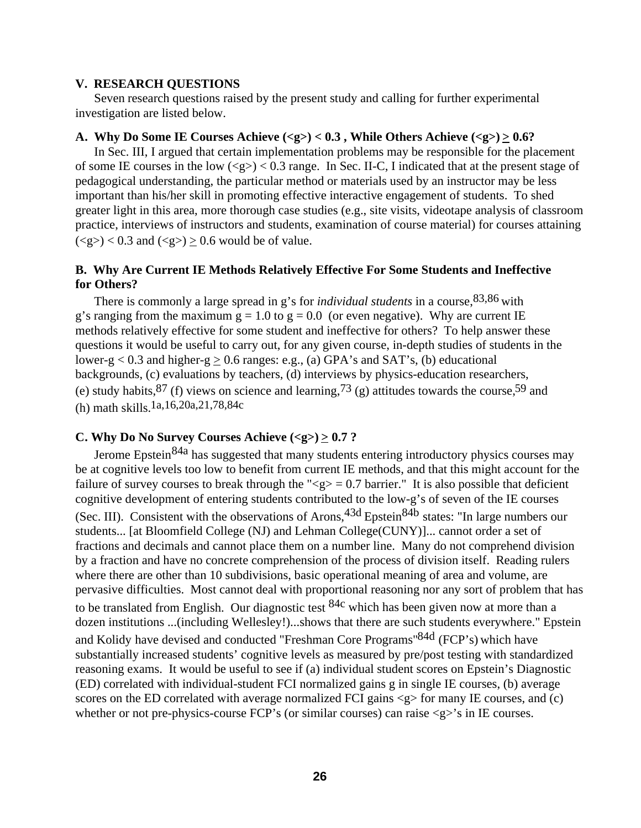### **V. RESEARCH QUESTIONS**

Seven research questions raised by the present study and calling for further experimental investigation are listed below.

### **A. Why Do Some IE Courses Achieve (<g>) < 0.3 , While Others Achieve (<g>) > 0.6?**

In Sec. III, I argued that certain implementation problems may be responsible for the placement of some IE courses in the low  $\langle \langle g \rangle \rangle$  < 0.3 range. In Sec. II-C, I indicated that at the present stage of pedagogical understanding, the particular method or materials used by an instructor may be less important than his/her skill in promoting effective interactive engagement of students. To shed greater light in this area, more thorough case studies (e.g., site visits, videotape analysis of classroom practice, interviews of instructors and students, examination of course material) for courses attaining  $(g) < 0.3$  and  $(g) > 0.6$  would be of value.

# **B. Why Are Current IE Methods Relatively Effective For Some Students and Ineffective for Others?**

There is commonly a large spread in g's for *individual students* in a course,83,86 with g's ranging from the maximum  $g = 1.0$  to  $g = 0.0$  (or even negative). Why are current IE methods relatively effective for some student and ineffective for others? To help answer these questions it would be useful to carry out, for any given course, in-depth studies of students in the lower-g < 0.3 and higher-g  $\geq$  0.6 ranges: e.g., (a) GPA's and SAT's, (b) educational backgrounds, (c) evaluations by teachers, (d) interviews by physics-education researchers, (e) study habits,  $87$  (f) views on science and learning,  $73$  (g) attitudes towards the course,  $59$  and (h) math skills.1a,16,20a,21,78,84c

## C. Why Do No Survey Courses Achieve  $\langle \langle g \rangle \rangle \geq 0.7$ ?

Jerome Epstein<sup>84a</sup> has suggested that many students entering introductory physics courses may be at cognitive levels too low to benefit from current IE methods, and that this might account for the failure of survey courses to break through the " $\langle g \rangle = 0.7$  barrier." It is also possible that deficient cognitive development of entering students contributed to the low-g's of seven of the IE courses (Sec. III). Consistent with the observations of Arons,  $43d$  Epstein $84b$  states: "In large numbers our students... [at Bloomfield College (NJ) and Lehman College(CUNY)]... cannot order a set of fractions and decimals and cannot place them on a number line. Many do not comprehend division by a fraction and have no concrete comprehension of the process of division itself. Reading rulers where there are other than 10 subdivisions, basic operational meaning of area and volume, are pervasive difficulties. Most cannot deal with proportional reasoning nor any sort of problem that has to be translated from English. Our diagnostic test  $84c$  which has been given now at more than a dozen institutions ...(including Wellesley!)...shows that there are such students everywhere." Epstein and Kolidy have devised and conducted "Freshman Core Programs"84d (FCP's) which have substantially increased students' cognitive levels as measured by pre/post testing with standardized reasoning exams. It would be useful to see if (a) individual student scores on Epstein's Diagnostic (ED) correlated with individual-student FCI normalized gains g in single IE courses, (b) average scores on the ED correlated with average normalized FCI gains  $\langle \varrho \rangle$  for many IE courses, and (c) whether or not pre-physics-course FCP's (or similar courses) can raise  $\langle g \rangle$ 's in IE courses.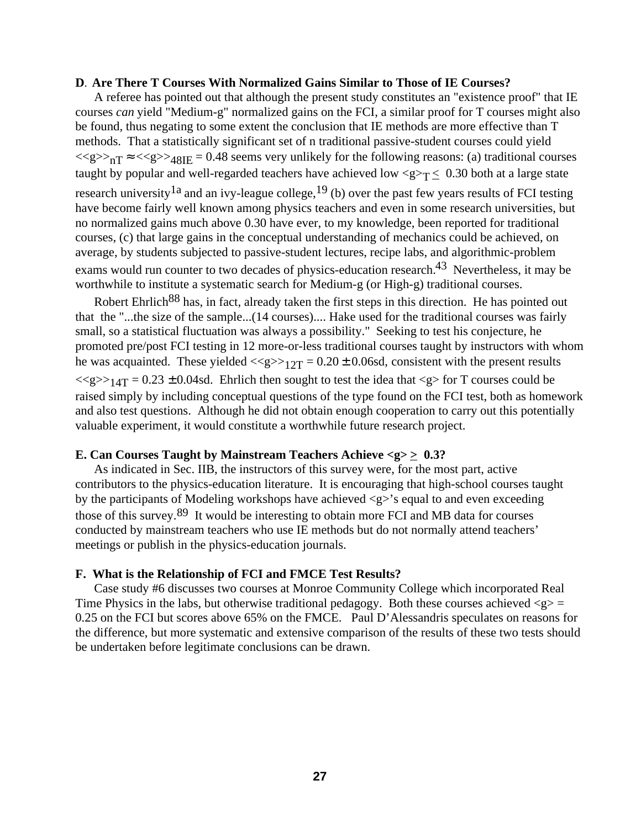### **D. Are There T Courses With Normalized Gains Similar to Those of IE Courses?**

A referee has pointed out that although the present study constitutes an "existence proof" that IE courses *can* yield "Medium-g" normalized gains on the FCI, a similar proof for T courses might also be found, thus negating to some extent the conclusion that IE methods are more effective than T methods. That a statistically significant set of n traditional passive-student courses could yield  $\langle \langle g \rangle >_{nT} \approx \langle \langle g \rangle >_{48} \times \langle g \rangle = 0.48$  seems very unlikely for the following reasons: (a) traditional courses taught by popular and well-regarded teachers have achieved low  $\langle g \rangle_T \leq 0.30$  both at a large state research university<sup>1a</sup> and an ivy-league college,<sup>19</sup> (b) over the past few years results of FCI testing have become fairly well known among physics teachers and even in some research universities, but no normalized gains much above 0.30 have ever, to my knowledge, been reported for traditional courses, (c) that large gains in the conceptual understanding of mechanics could be achieved, on average, by students subjected to passive-student lectures, recipe labs, and algorithmic-problem exams would run counter to two decades of physics-education research.43 Nevertheless, it may be worthwhile to institute a systematic search for Medium-g (or High-g) traditional courses.

Robert Ehrlich<sup>88</sup> has, in fact, already taken the first steps in this direction. He has pointed out that the "...the size of the sample...(14 courses).... Hake used for the traditional courses was fairly small, so a statistical fluctuation was always a possibility." Seeking to test his conjecture, he promoted pre/post FCI testing in 12 more-or-less traditional courses taught by instructors with whom he was acquainted. These yielded  $\langle \langle g \rangle > 12T = 0.20 \pm 0.06$  sd, consistent with the present results  $\langle \langle g \rangle > 14$ T = 0.23 ± 0.04sd. Ehrlich then sought to test the idea that  $\langle g \rangle$  for T courses could be raised simply by including conceptual questions of the type found on the FCI test, both as homework and also test questions. Although he did not obtain enough cooperation to carry out this potentially valuable experiment, it would constitute a worthwhile future research project.

### **E. Can Courses Taught by Mainstream Teachers Achieve**  $\langle g \rangle \geq 0.3$ **?**

As indicated in Sec. IIB, the instructors of this survey were, for the most part, active contributors to the physics-education literature. It is encouraging that high-school courses taught by the participants of Modeling workshops have achieved <g>'s equal to and even exceeding those of this survey.89 It would be interesting to obtain more FCI and MB data for courses conducted by mainstream teachers who use IE methods but do not normally attend teachers' meetings or publish in the physics-education journals.

#### **F. What is the Relationship of FCI and FMCE Test Results?**

Case study #6 discusses two courses at Monroe Community College which incorporated Real Time Physics in the labs, but otherwise traditional pedagogy. Both these courses achieved  $\langle g \rangle$  = 0.25 on the FCI but scores above 65% on the FMCE. Paul D'Alessandris speculates on reasons for the difference, but more systematic and extensive comparison of the results of these two tests should be undertaken before legitimate conclusions can be drawn.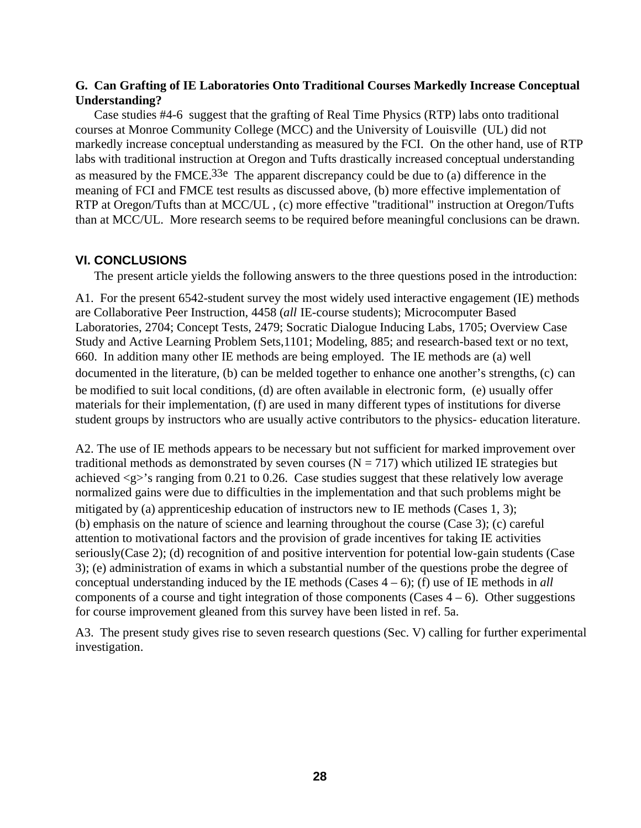# **G. Can Grafting of IE Laboratories Onto Traditional Courses Markedly Increase Conceptual Understanding?**

Case studies #4-6 suggest that the grafting of Real Time Physics (RTP) labs onto traditional courses at Monroe Community College (MCC) and the University of Louisville (UL) did not markedly increase conceptual understanding as measured by the FCI. On the other hand, use of RTP labs with traditional instruction at Oregon and Tufts drastically increased conceptual understanding as measured by the FMCE.33e The apparent discrepancy could be due to (a) difference in the meaning of FCI and FMCE test results as discussed above, (b) more effective implementation of RTP at Oregon/Tufts than at MCC/UL , (c) more effective "traditional" instruction at Oregon/Tufts than at MCC/UL. More research seems to be required before meaningful conclusions can be drawn.

# **VI. CONCLUSIONS**

The present article yields the following answers to the three questions posed in the introduction:

A1. For the present 6542-student survey the most widely used interactive engagement (IE) methods are Collaborative Peer Instruction, 4458 (*all* IE-course students); Microcomputer Based Laboratories, 2704; Concept Tests, 2479; Socratic Dialogue Inducing Labs, 1705; Overview Case Study and Active Learning Problem Sets,1101; Modeling, 885; and research-based text or no text, 660. In addition many other IE methods are being employed. The IE methods are (a) well documented in the literature, (b) can be melded together to enhance one another's strengths, (c) can be modified to suit local conditions, (d) are often available in electronic form, (e) usually offer materials for their implementation, (f) are used in many different types of institutions for diverse student groups by instructors who are usually active contributors to the physics- education literature.

A2. The use of IE methods appears to be necessary but not sufficient for marked improvement over traditional methods as demonstrated by seven courses ( $N = 717$ ) which utilized IE strategies but achieved <g>'s ranging from 0.21 to 0.26. Case studies suggest that these relatively low average normalized gains were due to difficulties in the implementation and that such problems might be mitigated by (a) apprenticeship education of instructors new to IE methods (Cases 1, 3); (b) emphasis on the nature of science and learning throughout the course (Case 3); (c) careful attention to motivational factors and the provision of grade incentives for taking IE activities seriously(Case 2); (d) recognition of and positive intervention for potential low-gain students (Case 3); (e) administration of exams in which a substantial number of the questions probe the degree of conceptual understanding induced by the IE methods (Cases 4 – 6); (f) use of IE methods in *all* components of a course and tight integration of those components (Cases  $4 - 6$ ). Other suggestions for course improvement gleaned from this survey have been listed in ref. 5a.

A3. The present study gives rise to seven research questions (Sec. V) calling for further experimental investigation.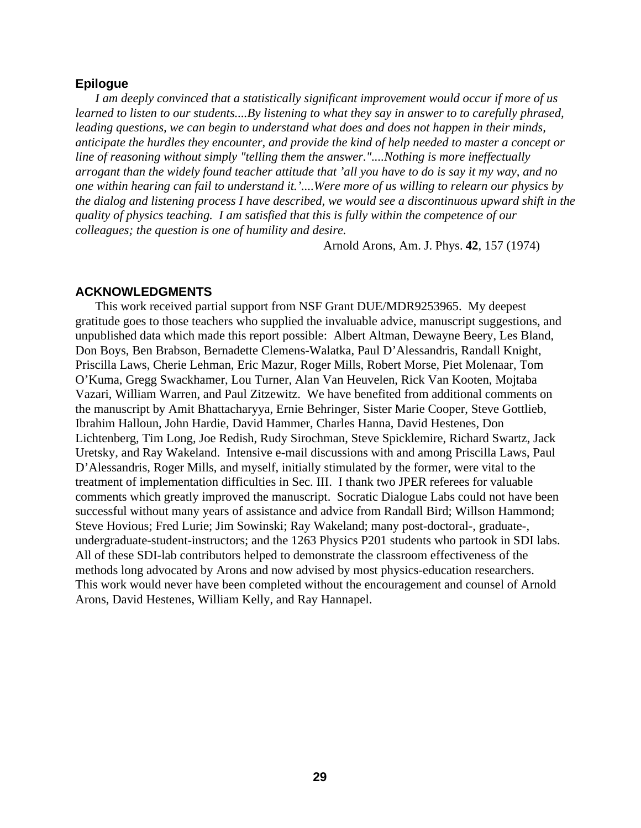### **Epilogue**

*I am deeply convinced that a statistically significant improvement would occur if more of us learned to listen to our students....By listening to what they say in answer to to carefully phrased, leading questions, we can begin to understand what does and does not happen in their minds, anticipate the hurdles they encounter, and provide the kind of help needed to master a concept or line of reasoning without simply "telling them the answer."....Nothing is more ineffectually arrogant than the widely found teacher attitude that 'all you have to do is say it my way, and no one within hearing can fail to understand it.'....Were more of us willing to relearn our physics by the dialog and listening process I have described, we would see a discontinuous upward shift in the quality of physics teaching. I am satisfied that this is fully within the competence of our colleagues; the question is one of humility and desire.*

Arnold Arons, Am. J. Phys. **42**, 157 (1974)

### **ACKNOWLEDGMENTS**

This work received partial support from NSF Grant DUE/MDR9253965. My deepest gratitude goes to those teachers who supplied the invaluable advice, manuscript suggestions, and unpublished data which made this report possible: Albert Altman, Dewayne Beery, Les Bland, Don Boys, Ben Brabson, Bernadette Clemens-Walatka, Paul D'Alessandris, Randall Knight, Priscilla Laws, Cherie Lehman, Eric Mazur, Roger Mills, Robert Morse, Piet Molenaar, Tom O'Kuma, Gregg Swackhamer, Lou Turner, Alan Van Heuvelen, Rick Van Kooten, Mojtaba Vazari, William Warren, and Paul Zitzewitz. We have benefited from additional comments on the manuscript by Amit Bhattacharyya, Ernie Behringer, Sister Marie Cooper, Steve Gottlieb, Ibrahim Halloun, John Hardie, David Hammer, Charles Hanna, David Hestenes, Don Lichtenberg, Tim Long, Joe Redish, Rudy Sirochman, Steve Spicklemire, Richard Swartz, Jack Uretsky, and Ray Wakeland. Intensive e-mail discussions with and among Priscilla Laws, Paul D'Alessandris, Roger Mills, and myself, initially stimulated by the former, were vital to the treatment of implementation difficulties in Sec. III. I thank two JPER referees for valuable comments which greatly improved the manuscript. Socratic Dialogue Labs could not have been successful without many years of assistance and advice from Randall Bird; Willson Hammond; Steve Hovious; Fred Lurie; Jim Sowinski; Ray Wakeland; many post-doctoral-, graduate-, undergraduate-student-instructors; and the 1263 Physics P201 students who partook in SDI labs. All of these SDI-lab contributors helped to demonstrate the classroom effectiveness of the methods long advocated by Arons and now advised by most physics-education researchers. This work would never have been completed without the encouragement and counsel of Arnold Arons, David Hestenes, William Kelly, and Ray Hannapel.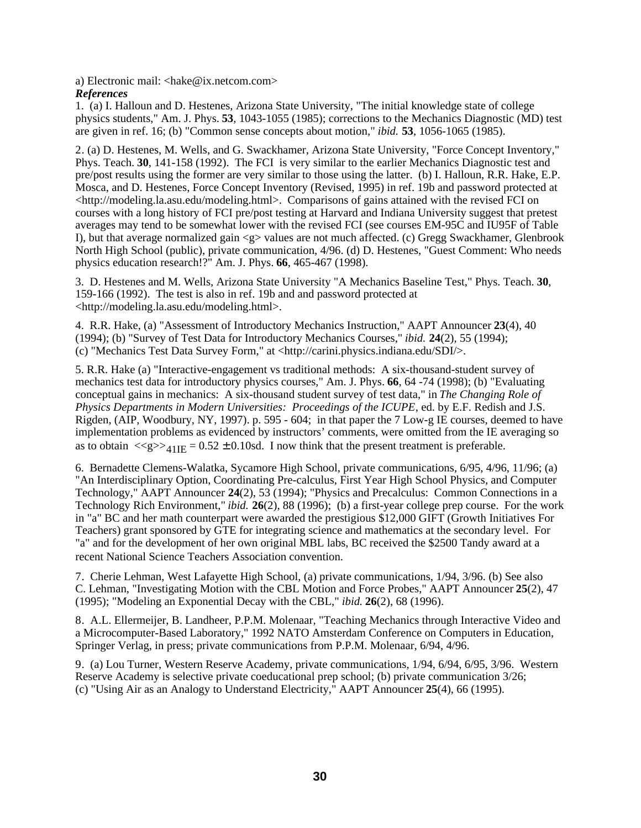a) Electronic mail: <hake@ix.netcom.com> *References* 

1. (a) I. Halloun and D. Hestenes, Arizona State University, "The initial knowledge state of college physics students," Am. J. Phys. **53**, 1043-1055 (1985); corrections to the Mechanics Diagnostic (MD) test are given in ref. 16; (b) "Common sense concepts about motion," *ibid.* **53**, 1056-1065 (1985).

2. (a) D. Hestenes, M. Wells, and G. Swackhamer, Arizona State University, "Force Concept Inventory," Phys. Teach. **30**, 141-158 (1992). The FCI is very similar to the earlier Mechanics Diagnostic test and pre/post results using the former are very similar to those using the latter. (b) I. Halloun, R.R. Hake, E.P. Mosca, and D. Hestenes, Force Concept Inventory (Revised, 1995) in ref. 19b and password protected at <http://modeling.la.asu.edu/modeling.html>. Comparisons of gains attained with the revised FCI on courses with a long history of FCI pre/post testing at Harvard and Indiana University suggest that pretest averages may tend to be somewhat lower with the revised FCI (see courses EM-95C and IU95F of Table I), but that average normalized gain <g> values are not much affected. (c) Gregg Swackhamer, Glenbrook North High School (public), private communication, 4/96. (d) D. Hestenes, "Guest Comment: Who needs physics education research!?" Am. J. Phys. **66**, 465-467 (1998).

3. D. Hestenes and M. Wells, Arizona State University "A Mechanics Baseline Test," Phys. Teach. **30**, 159-166 (1992). The test is also in ref. 19b and and password protected at <http://modeling.la.asu.edu/modeling.html>.

4. R.R. Hake, (a) "Assessment of Introductory Mechanics Instruction," AAPT Announcer **23**(4), 40 (1994); (b) "Survey of Test Data for Introductory Mechanics Courses," *ibid.* **24**(2), 55 (1994); (c) "Mechanics Test Data Survey Form," at <http://carini.physics.indiana.edu/SDI/>.

5. R.R. Hake (a) "Interactive-engagement vs traditional methods: A six-thousand-student survey of mechanics test data for introductory physics courses," Am. J. Phys. **66**, 64 -74 (1998); (b) "Evaluating conceptual gains in mechanics: A six-thousand student survey of test data," in *The Changing Role of Physics Departments in Modern Universities: Proceedings of the ICUPE*, ed. by E.F. Redish and J.S. Rigden, (AIP, Woodbury, NY, 1997). p. 595 - 604; in that paper the 7 Low-g IE courses, deemed to have implementation problems as evidenced by instructors' comments, were omitted from the IE averaging so as to obtain  $\langle \langle g \rangle \rangle_{41}$ <sub>IE</sub> = 0.52 ± 0.10sd. I now think that the present treatment is preferable.

6. Bernadette Clemens-Walatka, Sycamore High School, private communications, 6/95, 4/96, 11/96; (a) "An Interdisciplinary Option, Coordinating Pre-calculus, First Year High School Physics, and Computer Technology," AAPT Announcer **24**(2), 53 (1994); "Physics and Precalculus: Common Connections in a Technology Rich Environment," *ibid.* **26**(2), 88 (1996); (b) a first-year college prep course. For the work in "a" BC and her math counterpart were awarded the prestigious \$12,000 GIFT (Growth Initiatives For Teachers) grant sponsored by GTE for integrating science and mathematics at the secondary level. For "a" and for the development of her own original MBL labs, BC received the \$2500 Tandy award at a recent National Science Teachers Association convention.

7. Cherie Lehman, West Lafayette High School, (a) private communications, 1/94, 3/96. (b) See also C. Lehman, "Investigating Motion with the CBL Motion and Force Probes," AAPT Announcer **25**(2), 47 (1995); "Modeling an Exponential Decay with the CBL," *ibid.* **26**(2), 68 (1996).

8. A.L. Ellermeijer, B. Landheer, P.P.M. Molenaar, "Teaching Mechanics through Interactive Video and a Microcomputer-Based Laboratory," 1992 NATO Amsterdam Conference on Computers in Education, Springer Verlag, in press; private communications from P.P.M. Molenaar, 6/94, 4/96.

9. (a) Lou Turner, Western Reserve Academy, private communications, 1/94, 6/94, 6/95, 3/96. Western Reserve Academy is selective private coeducational prep school; (b) private communication 3/26; (c) "Using Air as an Analogy to Understand Electricity," AAPT Announcer **25**(4), 66 (1995).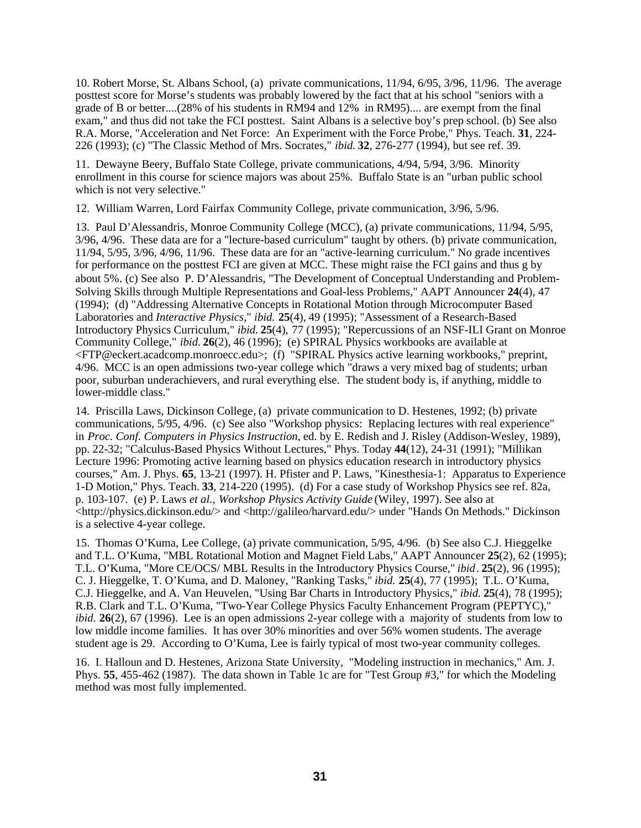10. Robert Morse, St. Albans School, (a) private communications, 11/94, 6/95, 3/96, 11/96. The average posttest score for Morse's students was probably lowered by the fact that at his school "seniors with a grade of B or better....(28% of his students in RM94 and 12% in RM95).... are exempt from the final exam," and thus did not take the FCI posttest. Saint Albans is a selective boy's prep school. (b) See also R.A. Morse, "Acceleration and Net Force: An Experiment with the Force Probe," Phys. Teach. **31**, 224- 226 (1993); (c) "The Classic Method of Mrs. Socrates," *ibid.* **32**, 276-277 (1994), but see ref. 39.

11. Dewayne Beery, Buffalo State College, private communications, 4/94, 5/94, 3/96. Minority enrollment in this course for science majors was about 25%. Buffalo State is an "urban public school which is not very selective."

12. William Warren, Lord Fairfax Community College, private communication, 3/96, 5/96.

13. Paul D'Alessandris, Monroe Community College (MCC), (a) private communications, 11/94, 5/95, 3/96, 4/96. These data are for a "lecture-based curriculum" taught by others. (b) private communication, 11/94, 5/95, 3/96, 4/96, 11/96. These data are for an "active-learning curriculum." No grade incentives for performance on the posttest FCI are given at MCC. These might raise the FCI gains and thus g by about 5%. (c) See also P. D'Alessandris, "The Development of Conceptual Understanding and Problem-Solving Skills through Multiple Representations and Goal-less Problems," AAPT Announcer **24**(4), 47 (1994); (d) "Addressing Alternative Concepts in Rotational Motion through Microcomputer Based Laboratories and *Interactive Physics*," *ibid.* **25**(4), 49 (1995); "Assessment of a Research-Based Introductory Physics Curriculum," *ibid.* **25**(4), 77 (1995); "Repercussions of an NSF-ILI Grant on Monroe Community College," *ibid.* **26**(2), 46 (1996); (e) SPIRAL Physics workbooks are available at <FTP@eckert.acadcomp.monroecc.edu>; (f) "SPIRAL Physics active learning workbooks," preprint, 4/96. MCC is an open admissions two-year college which "draws a very mixed bag of students; urban poor, suburban underachievers, and rural everything else. The student body is, if anything, middle to lower-middle class."

14. Priscilla Laws, Dickinson College*,* (a) private communication to D. Hestenes, 1992; (b) private communications, 5/95, 4/96. (c) See also "Workshop physics: Replacing lectures with real experience" in *Proc. Conf. Computers in Physics Instruction,* ed. by E. Redish and J. Risley (Addison-Wesley, 1989), pp. 22-32; "Calculus-Based Physics Without Lectures," Phys. Today **44**(12), 24-31 (1991); "Millikan Lecture 1996: Promoting active learning based on physics education research in introductory physics courses," Am. J. Phys. **65**, 13-21 (1997). H. Pfister and P. Laws, "Kinesthesia-1: Apparatus to Experience 1-D Motion," Phys. Teach. **33**, 214-220 (1995). (d) For a case study of Workshop Physics see ref. 82a, p. 103-107. (e) P. Laws *et al.*, *Workshop Physics Activity Guide* (Wiley, 1997). See also at <http://physics.dickinson.edu/> and <http://galileo/harvard.edu/> under "Hands On Methods." Dickinson is a selective 4-year college.

15. Thomas O'Kuma, Lee College, (a) private communication, 5/95, 4/96. (b) See also C.J. Hieggelke and T.L. O'Kuma, "MBL Rotational Motion and Magnet Field Labs," AAPT Announcer **25**(2), 62 (1995); T.L. O'Kuma, "More CE/OCS/ MBL Results in the Introductory Physics Course," *ibid*. **25**(2), 96 (1995); C. J. Hieggelke, T. O'Kuma, and D. Maloney, "Ranking Tasks," *ibid.* **25**(4), 77 (1995); T.L. O'Kuma, C.J. Hieggelke, and A. Van Heuvelen, "Using Bar Charts in Introductory Physics," *ibid.* **25**(4), 78 (1995); R.B. Clark and T.L. O'Kuma, "Two-Year College Physics Faculty Enhancement Program (PEPTYC)," *ibid.* **26**(2), 67 (1996). Lee is an open admissions 2-year college with a majority of students from low to low middle income families. It has over 30% minorities and over 56% women students. The average student age is 29. According to O'Kuma, Lee is fairly typical of most two-year community colleges.

16. I. Halloun and D. Hestenes, Arizona State University, "Modeling instruction in mechanics," Am. J. Phys. **55**, 455-462 (1987). The data shown in Table 1c are for "Test Group #3," for which the Modeling method was most fully implemented.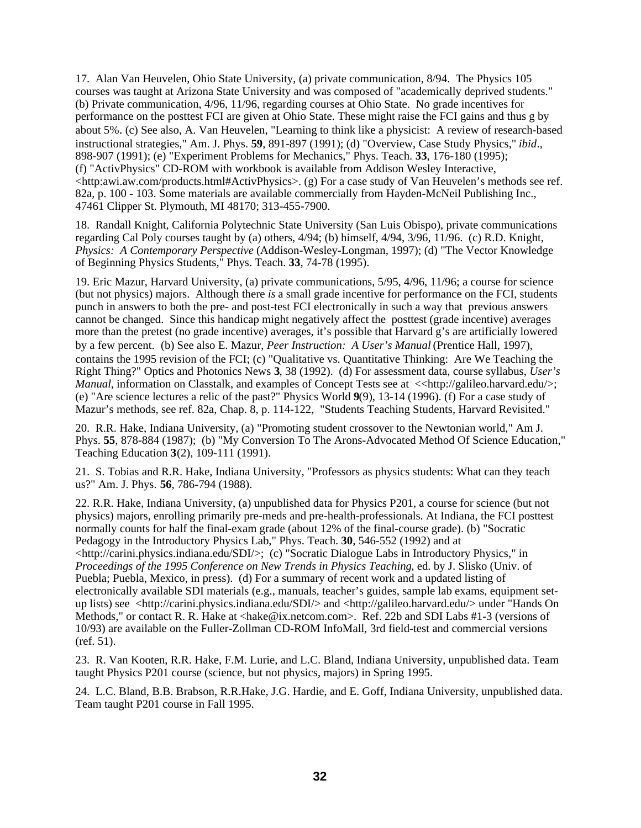17. Alan Van Heuvelen, Ohio State University, (a) private communication, 8/94. The Physics 105 courses was taught at Arizona State University and was composed of "academically deprived students." (b) Private communication, 4/96, 11/96, regarding courses at Ohio State. No grade incentives for performance on the posttest FCI are given at Ohio State. These might raise the FCI gains and thus g by about 5%. (c) See also, A. Van Heuvelen, "Learning to think like a physicist: A review of research-based instructional strategies," Am. J. Phys. **59**, 891-897 (1991); (d) "Overview, Case Study Physics," *ibid*., 898-907 (1991); (e) "Experiment Problems for Mechanics," Phys. Teach. **33**, 176-180 (1995); (f) "ActivPhysics" CD-ROM with workbook is available from Addison Wesley Interactive, <http:awi.aw.com/products.html#ActivPhysics>. (g) For a case study of Van Heuvelen's methods see ref. 82a, p. 100 - 103. Some materials are available commercially from Hayden-McNeil Publishing Inc., 47461 Clipper St. Plymouth, MI 48170; 313-455-7900.

18. Randall Knight, California Polytechnic State University (San Luis Obispo), private communications regarding Cal Poly courses taught by (a) others, 4/94; (b) himself, 4/94, 3/96, 11/96. (c) R.D. Knight, *Physics: A Contemporary Perspective* (Addison-Wesley-Longman, 1997); (d) "The Vector Knowledge of Beginning Physics Students," Phys. Teach. **33**, 74-78 (1995).

19. Eric Mazur, Harvard University, (a) private communications, 5/95, 4/96, 11/96; a course for science (but not physics) majors. Although there *is* a small grade incentive for performance on the FCI, students punch in answers to both the pre- and post-test FCI electronically in such a way that previous answers cannot be changed. Since this handicap might negatively affect the posttest (grade incentive) averages more than the pretest (no grade incentive) averages, it's possible that Harvard g's are artificially lowered by a few percent. (b) See also E. Mazur, *Peer Instruction: A User's Manual* (Prentice Hall, 1997), contains the 1995 revision of the FCI; (c) "Qualitative vs. Quantitative Thinking: Are We Teaching the Right Thing?" Optics and Photonics News **3**, 38 (1992). (d) For assessment data, course syllabus, *User's Manual*, information on Classtalk, and examples of Concept Tests see at  $\ll$ http://galileo.harvard.edu/>; (e) "Are science lectures a relic of the past?" Physics World **9**(9), 13-14 (1996). (f) For a case study of Mazur's methods, see ref. 82a, Chap. 8, p. 114-122, "Students Teaching Students, Harvard Revisited."

20. R.R. Hake, Indiana University, (a) "Promoting student crossover to the Newtonian world," Am J. Phys. **55**, 878-884 (1987); (b) "My Conversion To The Arons-Advocated Method Of Science Education," Teaching Education **3**(2), 109-111 (1991).

21. S. Tobias and R.R. Hake, Indiana University, "Professors as physics students: What can they teach us?" Am. J. Phys. **56**, 786-794 (1988).

22. R.R. Hake, Indiana University, (a) unpublished data for Physics P201, a course for science (but not physics) majors, enrolling primarily pre-meds and pre-health-professionals. At Indiana, the FCI posttest normally counts for half the final-exam grade (about 12% of the final-course grade). (b) "Socratic Pedagogy in the Introductory Physics Lab," Phys. Teach. **30**, 546-552 (1992) and at <http://carini.physics.indiana.edu/SDI/>; (c) "Socratic Dialogue Labs in Introductory Physics," in *Proceedings of the 1995 Conference on New Trends in Physics Teaching*, ed. by J. Slisko (Univ. of Puebla; Puebla, Mexico, in press). (d) For a summary of recent work and a updated listing of electronically available SDI materials (e.g., manuals, teacher's guides, sample lab exams, equipment setup lists) see <http://carini.physics.indiana.edu/SDI/> and <http://galileo.harvard.edu/> under "Hands On Methods," or contact R. R. Hake at <hake@ix.netcom.com>. Ref. 22b and SDI Labs #1-3 (versions of 10/93) are available on the Fuller-Zollman CD-ROM InfoMall*,* 3rd field-test and commercial versions (ref. 51).

23. R. Van Kooten, R.R. Hake, F.M. Lurie, and L.C. Bland, Indiana University, unpublished data. Team taught Physics P201 course (science, but not physics, majors) in Spring 1995.

24. L.C. Bland, B.B. Brabson, R.R.Hake, J.G. Hardie, and E. Goff, Indiana University, unpublished data. Team taught P201 course in Fall 1995.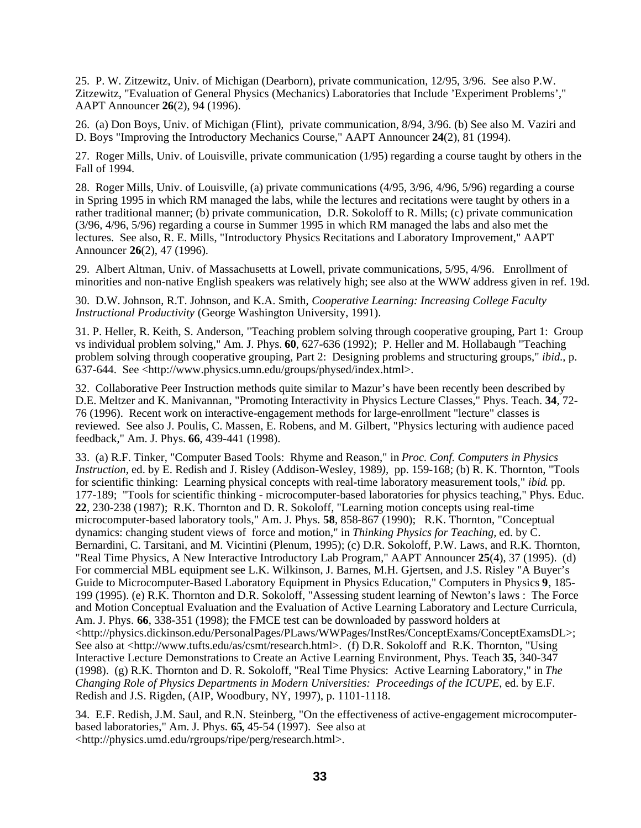25. P. W. Zitzewitz, Univ. of Michigan (Dearborn), private communication, 12/95, 3/96. See also P.W. Zitzewitz, "Evaluation of General Physics (Mechanics) Laboratories that Include 'Experiment Problems'," AAPT Announcer **26**(2), 94 (1996).

26. (a) Don Boys, Univ. of Michigan (Flint), private communication, 8/94, 3/96. (b) See also M. Vaziri and D. Boys "Improving the Introductory Mechanics Course," AAPT Announcer **24**(2), 81 (1994).

27. Roger Mills, Univ. of Louisville, private communication (1/95) regarding a course taught by others in the Fall of 1994.

28. Roger Mills, Univ. of Louisville, (a) private communications (4/95, 3/96, 4/96, 5/96) regarding a course in Spring 1995 in which RM managed the labs, while the lectures and recitations were taught by others in a rather traditional manner; (b) private communication, D.R. Sokoloff to R. Mills; (c) private communication (3/96, 4/96, 5/96) regarding a course in Summer 1995 in which RM managed the labs and also met the lectures. See also, R. E. Mills, "Introductory Physics Recitations and Laboratory Improvement," AAPT Announcer **26**(2), 47 (1996).

29. Albert Altman, Univ. of Massachusetts at Lowell, private communications, 5/95, 4/96. Enrollment of minorities and non-native English speakers was relatively high; see also at the WWW address given in ref. 19d.

30. D.W. Johnson, R.T. Johnson, and K.A. Smith, *Cooperative Learning: Increasing College Faculty Instructional Productivity* (George Washington University, 1991).

31. P. Heller, R. Keith, S. Anderson, "Teaching problem solving through cooperative grouping, Part 1: Group vs individual problem solving," Am. J. Phys. **60**, 627-636 (1992); P. Heller and M. Hollabaugh "Teaching problem solving through cooperative grouping, Part 2: Designing problems and structuring groups," *ibid*., p. 637-644.See <http://www.physics.umn.edu/groups/physed/index.html>.

32. Collaborative Peer Instruction methods quite similar to Mazur's have been recently been described by D.E. Meltzer and K. Manivannan, "Promoting Interactivity in Physics Lecture Classes," Phys. Teach. **34**, 72- 76 (1996). Recent work on interactive-engagement methods for large-enrollment "lecture" classes is reviewed. See also J. Poulis, C. Massen, E. Robens, and M. Gilbert, "Physics lecturing with audience paced feedback," Am. J. Phys. **66**, 439-441 (1998).

33. (a) R.F. Tinker, "Computer Based Tools: Rhyme and Reason," in *Proc. Conf. Computers in Physics Instruction,* ed. by E. Redish and J. Risley (Addison-Wesley, 1989*),* pp. 159-168; (b) R. K. Thornton, "Tools for scientific thinking: Learning physical concepts with real-time laboratory measurement tools," *ibid*. pp. 177-189; "Tools for scientific thinking - microcomputer-based laboratories for physics teaching," Phys. Educ. **22**, 230-238 (1987); R.K. Thornton and D. R. Sokoloff, "Learning motion concepts using real-time microcomputer-based laboratory tools," Am. J. Phys. **58**, 858-867 (1990); R.K. Thornton, "Conceptual dynamics: changing student views of force and motion," in *Thinking Physics for Teaching,* ed. by C. Bernardini, C. Tarsitani, and M. Vicintini (Plenum, 1995); (c) D.R. Sokoloff, P.W. Laws, and R.K. Thornton, "Real Time Physics, A New Interactive Introductory Lab Program," AAPT Announcer **25**(4), 37 (1995). (d) For commercial MBL equipment see L.K. Wilkinson, J. Barnes, M.H. Gjertsen, and J.S. Risley "A Buyer's Guide to Microcomputer-Based Laboratory Equipment in Physics Education," Computers in Physics **9**, 185- 199 (1995). (e) R.K. Thornton and D.R. Sokoloff, "Assessing student learning of Newton's laws : The Force and Motion Conceptual Evaluation and the Evaluation of Active Learning Laboratory and Lecture Curricula, Am. J. Phys. **66**, 338-351 (1998); the FMCE test can be downloaded by password holders at <http://physics.dickinson.edu/PersonalPages/PLaws/WWPages/InstRes/ConceptExams/ConceptExamsDL>; See also at <http://www.tufts.edu/as/csmt/research.html>. (f) D.R. Sokoloff and R.K. Thornton, "Using Interactive Lecture Demonstrations to Create an Active Learning Environment, Phys. Teach **35**, 340-347 (1998). (g) R.K. Thornton and D. R. Sokoloff, "Real Time Physics: Active Learning Laboratory," in *The Changing Role of Physics Departments in Modern Universities: Proceedings of the ICUPE*, ed. by E.F. Redish and J.S. Rigden, (AIP, Woodbury, NY, 1997), p. 1101-1118.

34. E.F. Redish, J.M. Saul, and R.N. Steinberg, "On the effectiveness of active-engagement microcomputerbased laboratories," Am. J. Phys. **65**, 45-54 (1997). See also at <http://physics.umd.edu/rgroups/ripe/perg/research.html>.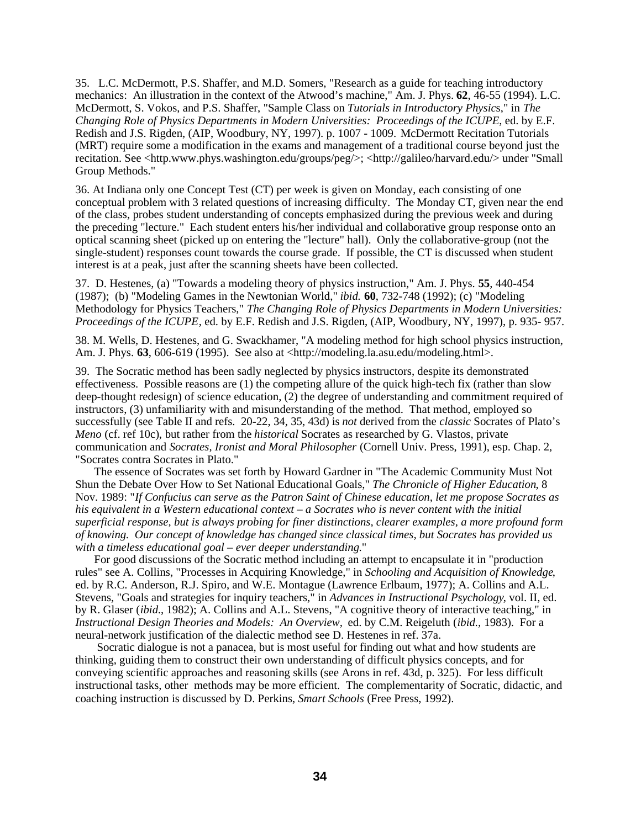35. L.C. McDermott, P.S. Shaffer, and M.D. Somers, "Research as a guide for teaching introductory mechanics: An illustration in the context of the Atwood's machine," Am. J. Phys. **62**, 46-55 (1994). L.C. McDermott, S. Vokos, and P.S. Shaffer, "Sample Class on *Tutorials in Introductory Physic*s," in *The Changing Role of Physics Departments in Modern Universities: Proceedings of the ICUPE*, ed. by E.F. Redish and J.S. Rigden, (AIP, Woodbury, NY, 1997). p. 1007 - 1009. McDermott Recitation Tutorials (MRT) require some a modification in the exams and management of a traditional course beyond just the recitation. See <http.www.phys.washington.edu/groups/peg/>; <http://galileo/harvard.edu/> under "Small Group Methods."

36. At Indiana only one Concept Test (CT) per week is given on Monday, each consisting of one conceptual problem with 3 related questions of increasing difficulty. The Monday CT, given near the end of the class, probes student understanding of concepts emphasized during the previous week and during the preceding "lecture." Each student enters his/her individual and collaborative group response onto an optical scanning sheet (picked up on entering the "lecture" hall). Only the collaborative-group (not the single-student) responses count towards the course grade. If possible, the CT is discussed when student interest is at a peak, just after the scanning sheets have been collected.

37. D. Hestenes, (a) "Towards a modeling theory of physics instruction," Am. J. Phys. **55**, 440-454 (1987); (b) "Modeling Games in the Newtonian World," *ibid.* **60**, 732-748 (1992); (c) "Modeling Methodology for Physics Teachers," *The Changing Role of Physics Departments in Modern Universities: Proceedings of the ICUPE*, ed. by E.F. Redish and J.S. Rigden, (AIP, Woodbury, NY, 1997), p. 935- 957.

38. M. Wells, D. Hestenes, and G. Swackhamer, "A modeling method for high school physics instruction, Am. J. Phys. **63**, 606-619 (1995). See also at <http://modeling.la.asu.edu/modeling.html>.

39. The Socratic method has been sadly neglected by physics instructors, despite its demonstrated effectiveness. Possible reasons are (1) the competing allure of the quick high-tech fix (rather than slow deep-thought redesign) of science education, (2) the degree of understanding and commitment required of instructors, (3) unfamiliarity with and misunderstanding of the method. That method, employed so successfully (see Table II and refs. 20-22, 34, 35, 43d) is *not* derived from the *classic* Socrates of Plato's *Meno* (cf. ref 10c)*,* but rather from the *historical* Socrates as researched by G. Vlastos, private communication and *Socrates, Ironist and Moral Philosopher* (Cornell Univ. Press, 1991), esp. Chap. 2, "Socrates contra Socrates in Plato."

The essence of Socrates was set forth by Howard Gardner in "The Academic Community Must Not Shun the Debate Over How to Set National Educational Goals," *The Chronicle of Higher Education*, 8 Nov. 1989: "*If Confucius can serve as the Patron Saint of Chinese education, let me propose Socrates as his equivalent in a Western educational context – a Socrates who is never content with the initial superficial response, but is always probing for finer distinctions, clearer examples, a more profound form of knowing. Our concept of knowledge has changed since classical times, but Socrates has provided us with a timeless educational goal – ever deeper understanding*."

 For good discussions of the Socratic method including an attempt to encapsulate it in "production rules" see A. Collins, "Processes in Acquiring Knowledge," in *Schooling and Acquisition of Knowledge*, ed. by R.C. Anderson, R.J. Spiro, and W.E. Montague (Lawrence Erlbaum, 1977); A. Collins and A.L. Stevens, "Goals and strategies for inquiry teachers," in *Advances in Instructional Psychology*, vol. II, ed. by R. Glaser (*ibid*., 1982); A. Collins and A.L. Stevens, "A cognitive theory of interactive teaching," in *Instructional Design Theories and Models: An Overview,* ed. by C.M. Reigeluth (*ibid.,* 1983). For a neural-network justification of the dialectic method see D. Hestenes in ref. 37a.

 Socratic dialogue is not a panacea, but is most useful for finding out what and how students are thinking, guiding them to construct their own understanding of difficult physics concepts, and for conveying scientific approaches and reasoning skills (see Arons in ref. 43d, p. 325). For less difficult instructional tasks, other methods may be more efficient. The complementarity of Socratic, didactic, and coaching instruction is discussed by D. Perkins, *Smart Schools* (Free Press, 1992).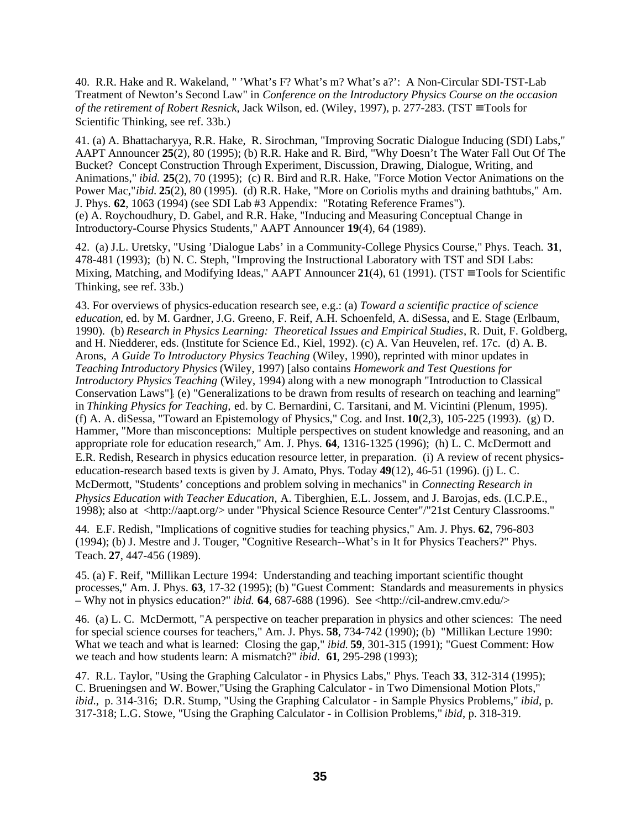40. R.R. Hake and R. Wakeland, " 'What's F? What's m? What's a?': A Non-Circular SDI-TST-Lab Treatment of Newton's Second Law" in *Conference on the Introductory Physics Course on the occasion of the retirement of Robert Resnick, Jack Wilson, ed.* (Wiley, 1997), p. 277-283. (TST ≡ Tools for Scientific Thinking, see ref. 33b.)

41. (a) A. Bhattacharyya, R.R. Hake, R. Sirochman, "Improving Socratic Dialogue Inducing (SDI) Labs," AAPT Announcer **25**(2), 80 (1995); (b) R.R. Hake and R. Bird, "Why Doesn't The Water Fall Out Of The Bucket? Concept Construction Through Experiment, Discussion, Drawing, Dialogue, Writing, and Animations," *ibid.* **25**(2), 70 (1995); (c) R. Bird and R.R. Hake, "Force Motion Vector Animations on the Power Mac,"*ibid.* **25**(2), 80 (1995). (d) R.R. Hake, "More on Coriolis myths and draining bathtubs," Am. J. Phys. **62**, 1063 (1994) (see SDI Lab #3 Appendix: "Rotating Reference Frames"). (e) A. Roychoudhury, D. Gabel, and R.R. Hake, "Inducing and Measuring Conceptual Change in Introductory-Course Physics Students," AAPT Announcer **19**(4), 64 (1989).

42. (a) J.L. Uretsky, "Using 'Dialogue Labs' in a Community-College Physics Course," Phys. Teach. **31**, 478-481 (1993); (b) N. C. Steph, "Improving the Instructional Laboratory with TST and SDI Labs: Mixing, Matching, and Modifying Ideas," AAPT Announcer **21**(4), 61 (1991). (TST ≡ Tools for Scientific Thinking, see ref. 33b.)

43. For overviews of physics-education research see, e.g.: (a) *Toward a scientific practice of science education*, ed. by M. Gardner, J.G. Greeno, F. Reif, A.H. Schoenfeld, A. diSessa, and E. Stage (Erlbaum, 1990). (b) *Research in Physics Learning: Theoretical Issues and Empirical Studies*, R. Duit, F. Goldberg, and H. Niedderer, eds. (Institute for Science Ed., Kiel, 1992). (c) A. Van Heuvelen, ref. 17c. (d) A. B. Arons, *A Guide To Introductory Physics Teaching* (Wiley, 1990), reprinted with minor updates in *Teaching Introductory Physics* (Wiley, 1997) [also contains *Homework and Test Questions for Introductory Physics Teaching* (Wiley, 1994) along with a new monograph "Introduction to Classical Conservation Laws"]; (e) "Generalizations to be drawn from results of research on teaching and learning" in *Thinking Physics for Teaching,* ed. by C. Bernardini, C. Tarsitani, and M. Vicintini (Plenum, 1995). (f) A. A. diSessa, "Toward an Epistemology of Physics," Cog. and Inst. **10**(2,3), 105-225 (1993). (g) D. Hammer, "More than misconceptions: Multiple perspectives on student knowledge and reasoning, and an appropriate role for education research," Am. J. Phys. **64**, 1316-1325 (1996); (h) L. C. McDermott and E.R. Redish, Research in physics education resource letter, in preparation. (i) A review of recent physicseducation-research based texts is given by J. Amato, Phys. Today **49**(12), 46-51 (1996). (j) L. C. McDermott, "Students' conceptions and problem solving in mechanics" in *Connecting Research in Physics Education with Teacher Education,* A. Tiberghien, E.L. Jossem, and J. Barojas, eds. (I.C.P.E., 1998); also at <http://aapt.org/> under "Physical Science Resource Center"/"21st Century Classrooms."

44. E.F. Redish, "Implications of cognitive studies for teaching physics," Am. J. Phys. **62**, 796-803 (1994); (b) J. Mestre and J. Touger, "Cognitive Research--What's in It for Physics Teachers?" Phys. Teach. **27**, 447-456 (1989).

45. (a) F. Reif, "Millikan Lecture 1994: Understanding and teaching important scientific thought processes," Am. J. Phys. **63**, 17-32 (1995); (b) "Guest Comment: Standards and measurements in physics – Why not in physics education?" *ibid.* **64**, 687-688 (1996). See <http://cil-andrew.cmv.edu/>

46. (a) L. C. McDermott, "A perspective on teacher preparation in physics and other sciences: The need for special science courses for teachers," Am. J. Phys. **58**, 734-742 (1990); (b) "Millikan Lecture 1990: What we teach and what is learned: Closing the gap," *ibid.* **59**, 301-315 (1991); "Guest Comment: How we teach and how students learn: A mismatch?" *ibid*. **61**, 295-298 (1993);

47. R.L. Taylor, "Using the Graphing Calculator - in Physics Labs," Phys. Teach **33**, 312-314 (1995); C. Brueningsen and W. Bower,"Using the Graphing Calculator - in Two Dimensional Motion Plots," *ibid*., p. 314-316; D.R. Stump, "Using the Graphing Calculator - in Sample Physics Problems," *ibid*, p. 317-318; L.G. Stowe, "Using the Graphing Calculator - in Collision Problems," *ibid*, p. 318-319.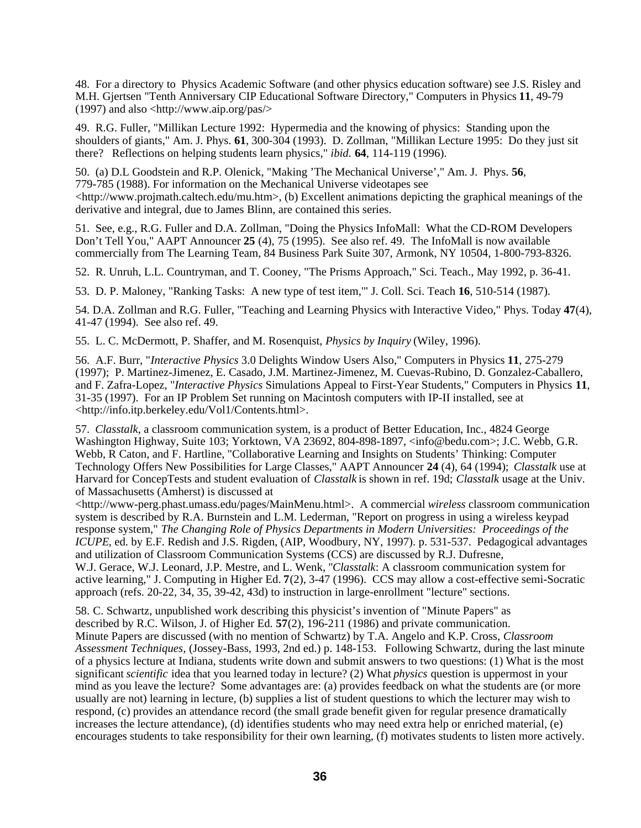48. For a directory to Physics Academic Software (and other physics education software) see J.S. Risley and M.H. Gjertsen "Tenth Anniversary CIP Educational Software Directory," Computers in Physics **11**, 49-79 (1997) and also <http://www.aip.org/pas/>

49. R.G. Fuller, "Millikan Lecture 1992: Hypermedia and the knowing of physics: Standing upon the shoulders of giants," Am. J. Phys. **61**, 300-304 (1993). D. Zollman, "Millikan Lecture 1995: Do they just sit there? Reflections on helping students learn physics," *ibid*. **64**, 114-119 (1996).

50. (a) D.L Goodstein and R.P. Olenick, "Making 'The Mechanical Universe'," Am. J. Phys. **56**, 779-785 (1988). For information on the Mechanical Universe videotapes see  $\langle$ http://www.projmath.caltech.edu/mu.htm>, (b) Excellent animations depicting the graphical meanings of the derivative and integral, due to James Blinn, are contained this series.

51. See, e.g., R.G. Fuller and D.A. Zollman, "Doing the Physics InfoMall: What the CD-ROM Developers Don't Tell You," AAPT Announcer **25** (4), 75 (1995). See also ref. 49. The InfoMall is now available commercially from The Learning Team, 84 Business Park Suite 307, Armonk, NY 10504, 1-800-793-8326.

52. R. Unruh, L.L. Countryman, and T. Cooney, "The Prisms Approach," Sci. Teach., May 1992, p. 36-41.

53. D. P. Maloney, "Ranking Tasks: A new type of test item,'" J. Coll. Sci. Teach **16**, 510-514 (1987).

54. D.A. Zollman and R.G. Fuller, "Teaching and Learning Physics with Interactive Video," Phys. Today **47**(4), 41-47 (1994). See also ref. 49.

55. L. C. McDermott, P. Shaffer, and M. Rosenquist, *Physics by Inquiry* (Wiley, 1996).

56. A.F. Burr, "*Interactive Physics* 3.0 Delights Window Users Also," Computers in Physics **11**, 275-279 (1997); P. Martinez-Jimenez, E. Casado, J.M. Martinez-Jimenez, M. Cuevas-Rubino, D. Gonzalez-Caballero, and F. Zafra-Lopez, "*Interactive Physics* Simulations Appeal to First-Year Students," Computers in Physics **11**, 31-35 (1997). For an IP Problem Set running on Macintosh computers with IP-II installed, see at <http://info.itp.berkeley.edu/Vol1/Contents.html>.

57. *Classtalk*, a classroom communication system, is a product of Better Education, Inc., 4824 George Washington Highway, Suite 103; Yorktown, VA 23692, 804-898-1897, <info@bedu.com>; J.C. Webb, G.R. Webb, R Caton, and F. Hartline, "Collaborative Learning and Insights on Students' Thinking: Computer Technology Offers New Possibilities for Large Classes," AAPT Announcer **24** (4), 64 (1994); *Classtalk* use at Harvard for ConcepTests and student evaluation of *Classtalk* is shown in ref. 19d; *Classtalk* usage at the Univ. of Massachusetts (Amherst) is discussed at

<http://www-perg.phast.umass.edu/pages/MainMenu.html>. A commercial *wireless* classroom communication system is described by R.A. Burnstein and L.M. Lederman, "Report on progress in using a wireless keypad response system," *The Changing Role of Physics Departments in Modern Universities: Proceedings of the ICUPE*, ed. by E.F. Redish and J.S. Rigden, (AIP, Woodbury, NY, 1997). p. 531-537. Pedagogical advantages and utilization of Classroom Communication Systems (CCS) are discussed by R.J. Dufresne, W.J. Gerace, W.J. Leonard, J.P. Mestre, and L. Wenk, "*Classtalk*: A classroom communication system for active learning," J. Computing in Higher Ed. **7**(2), 3-47 (1996). CCS may allow a cost-effective semi-Socratic approach (refs. 20-22, 34, 35, 39-42, 43d) to instruction in large-enrollment "lecture" sections.

58. C. Schwartz, unpublished work describing this physicist's invention of "Minute Papers" as described by R.C. Wilson, J. of Higher Ed. **57**(2), 196-211 (1986) and private communication. Minute Papers are discussed (with no mention of Schwartz) by T.A. Angelo and K.P. Cross, *Classroom Assessment Techniques,* (Jossey-Bass, 1993, 2nd ed.) p. 148-153. Following Schwartz, during the last minute of a physics lecture at Indiana, students write down and submit answers to two questions: (1) What is the most significant *scientific* idea that you learned today in lecture? (2) What *physics* question is uppermost in your mind as you leave the lecture? Some advantages are: (a) provides feedback on what the students are (or more usually are not) learning in lecture, (b) supplies a list of student questions to which the lecturer may wish to respond, (c) provides an attendance record (the small grade benefit given for regular presence dramatically increases the lecture attendance), (d) identifies students who may need extra help or enriched material, (e) encourages students to take responsibility for their own learning, (f) motivates students to listen more actively.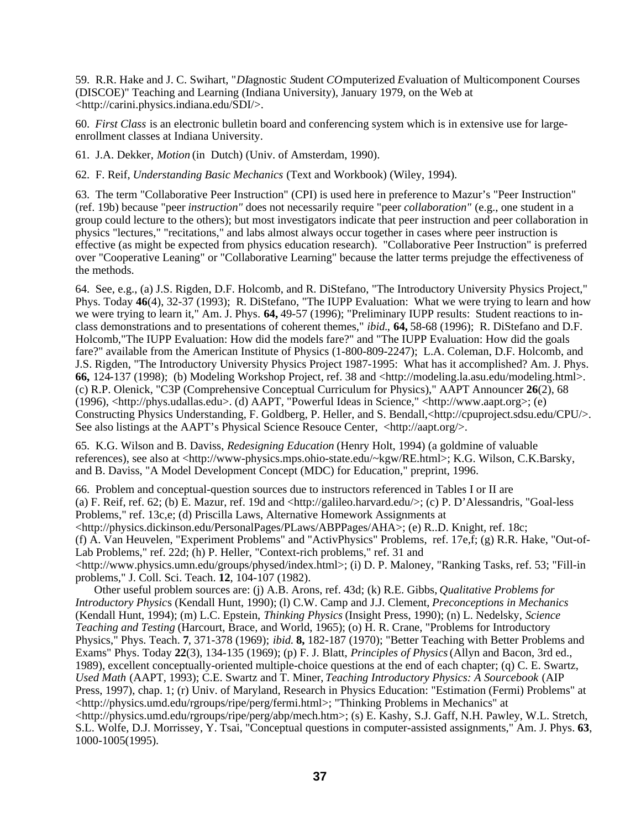59. R.R. Hake and J. C. Swihart, "*DI*agnostic *S*tudent *CO*mputerized *E*valuation of Multicomponent Courses (DISCOE)" Teaching and Learning (Indiana University), January 1979, on the Web at <http://carini.physics.indiana.edu/SDI/>.

60. *First Class* is an electronic bulletin board and conferencing system which is in extensive use for largeenrollment classes at Indiana University.

61. J.A. Dekker, *Motion* (in Dutch) (Univ. of Amsterdam, 1990).

62. F. Reif, *Understanding Basic Mechanics* (Text and Workbook) (Wiley, 1994).

63. The term "Collaborative Peer Instruction" (CPI) is used here in preference to Mazur's "Peer Instruction" (ref. 19b) because "peer *instruction"* does not necessarily require "peer *collaboration"* (e.g., one student in a group could lecture to the others); but most investigators indicate that peer instruction and peer collaboration in physics "lectures," "recitations," and labs almost always occur together in cases where peer instruction is effective (as might be expected from physics education research). "Collaborative Peer Instruction" is preferred over "Cooperative Leaning" or "Collaborative Learning" because the latter terms prejudge the effectiveness of the methods.

64. See, e.g., (a) J.S. Rigden, D.F. Holcomb, and R. DiStefano, "The Introductory University Physics Project," Phys. Today **46**(4), 32-37 (1993); R. DiStefano, "The IUPP Evaluation: What we were trying to learn and how we were trying to learn it," Am. J. Phys. **64,** 49-57 (1996); "Preliminary IUPP results: Student reactions to inclass demonstrations and to presentations of coherent themes," *ibid.*, **64,** 58-68 (1996); R. DiStefano and D.F. Holcomb,"The IUPP Evaluation: How did the models fare?" and "The IUPP Evaluation: How did the goals fare?" available from the American Institute of Physics (1-800-809-2247); L.A. Coleman, D.F. Holcomb, and J.S. Rigden, "The Introductory University Physics Project 1987-1995: What has it accomplished? Am. J. Phys. **66,** 124-137 (1998); (b) Modeling Workshop Project, ref. 38 and <http://modeling.la.asu.edu/modeling.html>. (c) R.P. Olenick, "C3P (Comprehensive Conceptual Curriculum for Physics)," AAPT Announcer **26**(2), 68 (1996), <http://phys.udallas.edu>. (d) AAPT, "Powerful Ideas in Science," <http://www.aapt.org>; (e) Constructing Physics Understanding, F. Goldberg, P. Heller, and S. Bendall,<http://cpuproject.sdsu.edu/CPU/>. See also listings at the AAPT's Physical Science Resouce Center,  $\langle \text{http://aapt.org/>.}$ 

65. K.G. Wilson and B. Daviss, *Redesigning Education* (Henry Holt, 1994) (a goldmine of valuable references), see also at <http://www-physics.mps.ohio-state.edu/~kgw/RE.html>; K.G. Wilson, C.K.Barsky, and B. Daviss, "A Model Development Concept (MDC) for Education," preprint, 1996.

66. Problem and conceptual-question sources due to instructors referenced in Tables I or II are (a) F. Reif, ref. 62; (b) E. Mazur, ref. 19d and <http://galileo.harvard.edu/>; (c) P. D'Alessandris, "Goal-less Problems," ref. 13c,e; (d) Priscilla Laws, Alternative Homework Assignments at <http://physics.dickinson.edu/PersonalPages/PLaws/ABPPages/AHA>; (e) R..D. Knight, ref. 18c; (f) A. Van Heuvelen, "Experiment Problems" and "ActivPhysics" Problems, ref. 17e,f; (g) R.R. Hake, "Out-of-Lab Problems," ref. 22d; (h) P. Heller, "Context-rich problems," ref. 31 and <http://www.physics.umn.edu/groups/physed/index.html>; (i) D. P. Maloney, "Ranking Tasks, ref. 53; "Fill-in problems," J. Coll. Sci. Teach. **12**, 104-107 (1982).

Other useful problem sources are: (j) A.B. Arons, ref. 43d; (k) R.E. Gibbs, *Qualitative Problems for Introductory Physic*s (Kendall Hunt, 1990); (l) C.W. Camp and J.J. Clement, *Preconceptions in Mechanics* (Kendall Hunt, 1994); (m) L.C. Epstein, *Thinking Physics* (Insight Press, 1990); (n) L. Nedelsky, *Science Teaching and Testing* (Harcourt, Brace, and World, 1965); (o) H. R. Crane, "Problems for Introductory Physics," Phys. Teach. **7**, 371-378 (1969); *ibid.* **8,** 182-187 (1970); "Better Teaching with Better Problems and Exams" Phys. Today **22**(3), 134-135 (1969); (p) F. J. Blatt, *Principles of Physics* (Allyn and Bacon, 3rd ed., 1989), excellent conceptually-oriented multiple-choice questions at the end of each chapter; (q) C. E. Swartz, *Used Math* (AAPT, 1993); C.E. Swartz and T. Miner, *Teaching Introductory Physics: A Sourcebook* (AIP Press, 1997), chap. 1; (r) Univ. of Maryland, Research in Physics Education: "Estimation (Fermi) Problems" at <http://physics.umd.edu/rgroups/ripe/perg/fermi.html>; "Thinking Problems in Mechanics" at <http://physics.umd.edu/rgroups/ripe/perg/abp/mech.htm>; (s) E. Kashy, S.J. Gaff, N.H. Pawley, W.L. Stretch, S.L. Wolfe, D.J. Morrissey, Y. Tsai, "Conceptual questions in computer-assisted assignments," Am. J. Phys. **63**, 1000-1005(1995).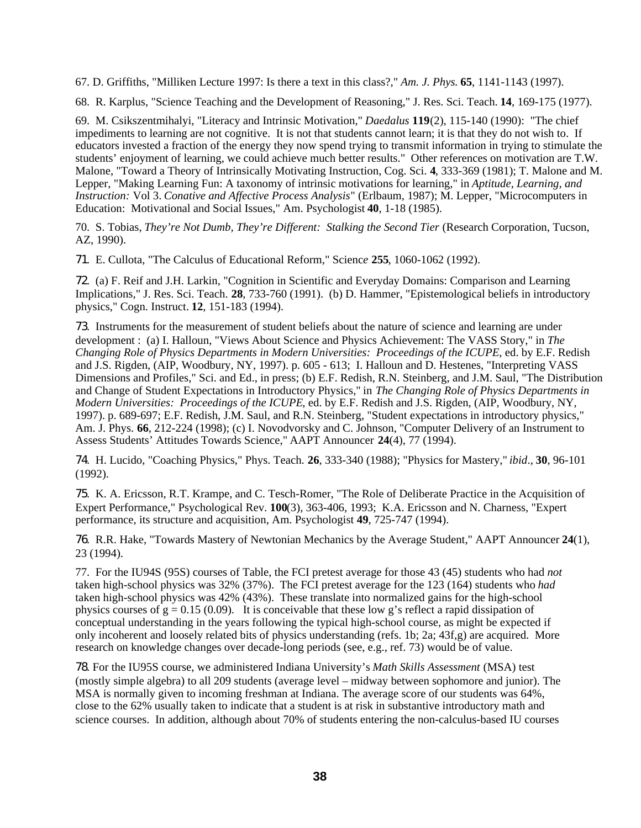67. D. Griffiths, "Milliken Lecture 1997: Is there a text in this class?," *Am. J. Phys.* **65**, 1141-1143 (1997).

68. R. Karplus, "Science Teaching and the Development of Reasoning," J. Res. Sci. Teach. **14**, 169-175 (1977).

69. M. Csikszentmihalyi, "Literacy and Intrinsic Motivation," *Daedalus* **119**(2), 115-140 (1990): "The chief impediments to learning are not cognitive. It is not that students cannot learn; it is that they do not wish to. If educators invested a fraction of the energy they now spend trying to transmit information in trying to stimulate the students' enjoyment of learning, we could achieve much better results." Other references on motivation are T.W. Malone, "Toward a Theory of Intrinsically Motivating Instruction, Cog. Sci. **4**, 333-369 (1981); T. Malone and M. Lepper, "Making Learning Fun: A taxonomy of intrinsic motivations for learning," in *Aptitude, Learning, and Instruction:* Vol 3. *Conative and Affective Process Analysis*" (Erlbaum, 1987); M. Lepper, "Microcomputers in Education: Motivational and Social Issues," Am. Psychologist **40**, 1-18 (1985).

70. S. Tobias, *They're Not Dumb, They're Different: Stalking the Second Tier* (Research Corporation, Tucson, AZ, 1990).

71. E. Cullota, "The Calculus of Educational Reform," Scienc*e* **255**, 1060-1062 (1992).

72. (a) F. Reif and J.H. Larkin, "Cognition in Scientific and Everyday Domains: Comparison and Learning Implications," J. Res. Sci. Teach. **28**, 733-760 (1991). (b) D. Hammer, "Epistemological beliefs in introductory physics," Cogn. Instruct. **12**, 151-183 (1994).

73. Instruments for the measurement of student beliefs about the nature of science and learning are under development : (a) I. Halloun, "Views About Science and Physics Achievement: The VASS Story," in *The Changing Role of Physics Departments in Modern Universities: Proceedings of the ICUPE*, ed. by E.F. Redish and J.S. Rigden, (AIP, Woodbury, NY, 1997). p. 605 - 613; I. Halloun and D. Hestenes, "Interpreting VASS Dimensions and Profiles," Sci. and Ed., in press; (b) E.F. Redish, R.N. Steinberg, and J.M. Saul, "The Distribution and Change of Student Expectations in Introductory Physics," in *The Changing Role of Physics Departments in Modern Universities: Proceedings of the ICUPE*, ed. by E.F. Redish and J.S. Rigden, (AIP, Woodbury, NY, 1997). p. 689-697; E.F. Redish, J.M. Saul, and R.N. Steinberg, "Student expectations in introductory physics," Am. J. Phys. **66**, 212-224 (1998); (c) I. Novodvorsky and C. Johnson, "Computer Delivery of an Instrument to Assess Students' Attitudes Towards Science," AAPT Announcer **24**(4), 77 (1994).

74. H. Lucido, "Coaching Physics," Phys. Teach. **26**, 333-340 (1988); "Physics for Mastery," *ibid*., **30**, 96-101 (1992).

75. K. A. Ericsson, R.T. Krampe, and C. Tesch-Romer, "The Role of Deliberate Practice in the Acquisition of Expert Performance," Psychological Rev. **100**(3), 363-406, 1993; K.A. Ericsson and N. Charness, "Expert performance, its structure and acquisition, Am. Psychologist **49**, 725-747 (1994).

76. R.R. Hake, "Towards Mastery of Newtonian Mechanics by the Average Student," AAPT Announcer **24**(1), 23 (1994).

77. For the IU94S (95S) courses of Table, the FCI pretest average for those 43 (45) students who had *not* taken high-school physics was 32% (37%). The FCI pretest average for the 123 (164) students who *had* taken high-school physics was 42% (43%). These translate into normalized gains for the high-school physics courses of  $g = 0.15$  (0.09). It is conceivable that these low g's reflect a rapid dissipation of conceptual understanding in the years following the typical high-school course, as might be expected if only incoherent and loosely related bits of physics understanding (refs. 1b; 2a; 43f,g) are acquired. More research on knowledge changes over decade-long periods (see, e.g., ref. 73) would be of value.

78. For the IU95S course, we administered Indiana University's *Math Skills Assessment* (MSA) test (mostly simple algebra) to all 209 students (average level – midway between sophomore and junior). The MSA is normally given to incoming freshman at Indiana. The average score of our students was 64%, close to the 62% usually taken to indicate that a student is at risk in substantive introductory math and science courses. In addition, although about 70% of students entering the non-calculus-based IU courses